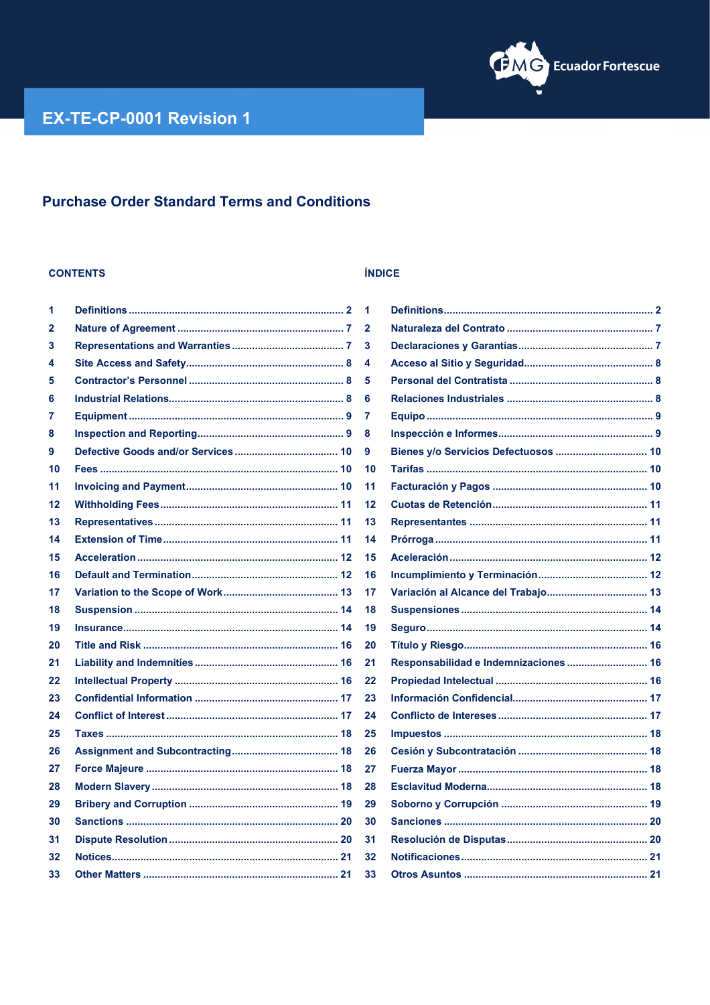

## **Purchase Order Standard Terms and Conditions**

### **CONTENTS**

| 1  | 1              |
|----|----------------|
| 2  | 2              |
| 3  | 3              |
| 4  | 4              |
| 5  | 5              |
| 6  | 6              |
| 7  | 7              |
| 8  | 8              |
| 9  | 9              |
| 10 | 1              |
| 11 | 1              |
| 12 | 1              |
| 13 | 1              |
| 14 | 1              |
| 15 | 1              |
| 16 | 1              |
| 17 | 1              |
| 18 | 1              |
| 19 | 1              |
| 20 | 2              |
| 21 | $\overline{2}$ |
| 22 | $\overline{2}$ |
| 23 | $\overline{2}$ |
| 24 | 2              |
| 25 | 2              |
| 26 | $\overline{2}$ |
| 27 | $\overline{2}$ |
| 28 | 2              |
| 29 | 2              |
| 30 | 3              |
| 31 | 3              |
| 32 | 3              |
| 33 | 3              |
|    |                |

### ÍNDICE

| 1  |                                       |
|----|---------------------------------------|
| 2  |                                       |
| 3  |                                       |
| 4  |                                       |
| 5  |                                       |
| 6  |                                       |
| 7  |                                       |
| 8  |                                       |
| 9  |                                       |
| 10 |                                       |
| 11 |                                       |
| 12 |                                       |
| 13 |                                       |
| 14 |                                       |
| 15 |                                       |
| 16 |                                       |
| 17 |                                       |
| 18 |                                       |
| 19 |                                       |
| 20 |                                       |
| 21 | Responsabilidad e Indemnizaciones  16 |
| 22 |                                       |
| 23 |                                       |
| 24 |                                       |
| 25 |                                       |
| 26 |                                       |
| 27 |                                       |
| 28 |                                       |
| 29 |                                       |
| 30 |                                       |
| 31 |                                       |
| 32 |                                       |
| 33 |                                       |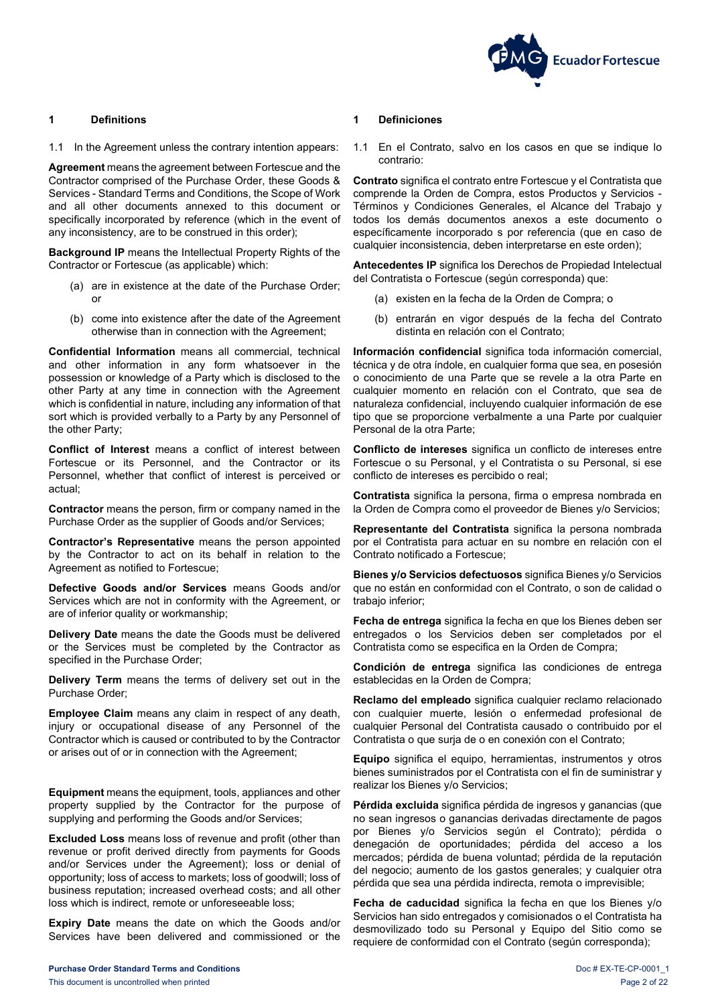

### <span id="page-1-0"></span>**1 Definitions 1 Definiciones**

1.1 In the Agreement unless the contrary intention appears:

**Agreement** means the agreement between Fortescue and the Contractor comprised of the Purchase Order, these Goods & Services - Standard Terms and Conditions, the Scope of Work and all other documents annexed to this document or specifically incorporated by reference (which in the event of any inconsistency, are to be construed in this order);

**Background IP** means the Intellectual Property Rights of the Contractor or Fortescue (as applicable) which:

- (a) are in existence at the date of the Purchase Order; or
- (b) come into existence after the date of the Agreement otherwise than in connection with the Agreement;

**Confidential Information** means all commercial, technical and other information in any form whatsoever in the possession or knowledge of a Party which is disclosed to the other Party at any time in connection with the Agreement which is confidential in nature, including any information of that sort which is provided verbally to a Party by any Personnel of the other Party;

**Conflict of Interest** means a conflict of interest between Fortescue or its Personnel, and the Contractor or its Personnel, whether that conflict of interest is perceived or actual;

**Contractor** means the person, firm or company named in the Purchase Order as the supplier of Goods and/or Services;

**Contractor's Representative** means the person appointed by the Contractor to act on its behalf in relation to the Agreement as notified to Fortescue;

**Defective Goods and/or Services** means Goods and/or Services which are not in conformity with the Agreement, or are of inferior quality or workmanship;

**Delivery Date** means the date the Goods must be delivered or the Services must be completed by the Contractor as specified in the Purchase Order;

**Delivery Term** means the terms of delivery set out in the Purchase Order;

**Employee Claim** means any claim in respect of any death, injury or occupational disease of any Personnel of the Contractor which is caused or contributed to by the Contractor or arises out of or in connection with the Agreement;

**Equipment** means the equipment, tools, appliances and other property supplied by the Contractor for the purpose of supplying and performing the Goods and/or Services;

**Excluded Loss** means loss of revenue and profit (other than revenue or profit derived directly from payments for Goods and/or Services under the Agreement); loss or denial of opportunity; loss of access to markets; loss of goodwill; loss of business reputation; increased overhead costs; and all other loss which is indirect, remote or unforeseeable loss;

**Expiry Date** means the date on which the Goods and/or Services have been delivered and commissioned or the

1.1 En el Contrato, salvo en los casos en que se indique lo contrario:

**Contrato** significa el contrato entre Fortescue y el Contratista que comprende la Orden de Compra, estos Productos y Servicios - Términos y Condiciones Generales, el Alcance del Trabajo y todos los demás documentos anexos a este documento o específicamente incorporado s por referencia (que en caso de cualquier inconsistencia, deben interpretarse en este orden);

**Antecedentes IP** significa los Derechos de Propiedad Intelectual del Contratista o Fortescue (según corresponda) que:

- (a) existen en la fecha de la Orden de Compra; o
- (b) entrarán en vigor después de la fecha del Contrato distinta en relación con el Contrato;

**Información confidencial** significa toda información comercial, técnica y de otra índole, en cualquier forma que sea, en posesión o conocimiento de una Parte que se revele a la otra Parte en cualquier momento en relación con el Contrato, que sea de naturaleza confidencial, incluyendo cualquier información de ese tipo que se proporcione verbalmente a una Parte por cualquier Personal de la otra Parte;

**Conflicto de intereses** significa un conflicto de intereses entre Fortescue o su Personal, y el Contratista o su Personal, si ese conflicto de intereses es percibido o real;

**Contratista** significa la persona, firma o empresa nombrada en la Orden de Compra como el proveedor de Bienes y/o Servicios;

**Representante del Contratista** significa la persona nombrada por el Contratista para actuar en su nombre en relación con el Contrato notificado a Fortescue;

**Bienes y/o Servicios defectuosos** significa Bienes y/o Servicios que no están en conformidad con el Contrato, o son de calidad o trabajo inferior;

**Fecha de entrega** significa la fecha en que los Bienes deben ser entregados o los Servicios deben ser completados por el Contratista como se especifica en la Orden de Compra;

**Condición de entrega** significa las condiciones de entrega establecidas en la Orden de Compra;

**Reclamo del empleado** significa cualquier reclamo relacionado con cualquier muerte, lesión o enfermedad profesional de cualquier Personal del Contratista causado o contribuido por el Contratista o que surja de o en conexión con el Contrato;

**Equipo** significa el equipo, herramientas, instrumentos y otros bienes suministrados por el Contratista con el fin de suministrar y realizar los Bienes y/o Servicios;

**Pérdida excluida** significa pérdida de ingresos y ganancias (que no sean ingresos o ganancias derivadas directamente de pagos por Bienes y/o Servicios según el Contrato); pérdida o denegación de oportunidades; pérdida del acceso a los mercados; pérdida de buena voluntad; pérdida de la reputación del negocio; aumento de los gastos generales; y cualquier otra pérdida que sea una pérdida indirecta, remota o imprevisible;

**Fecha de caducidad** significa la fecha en que los Bienes y/o Servicios han sido entregados y comisionados o el Contratista ha desmovilizado todo su Personal y Equipo del Sitio como se requiere de conformidad con el Contrato (según corresponda);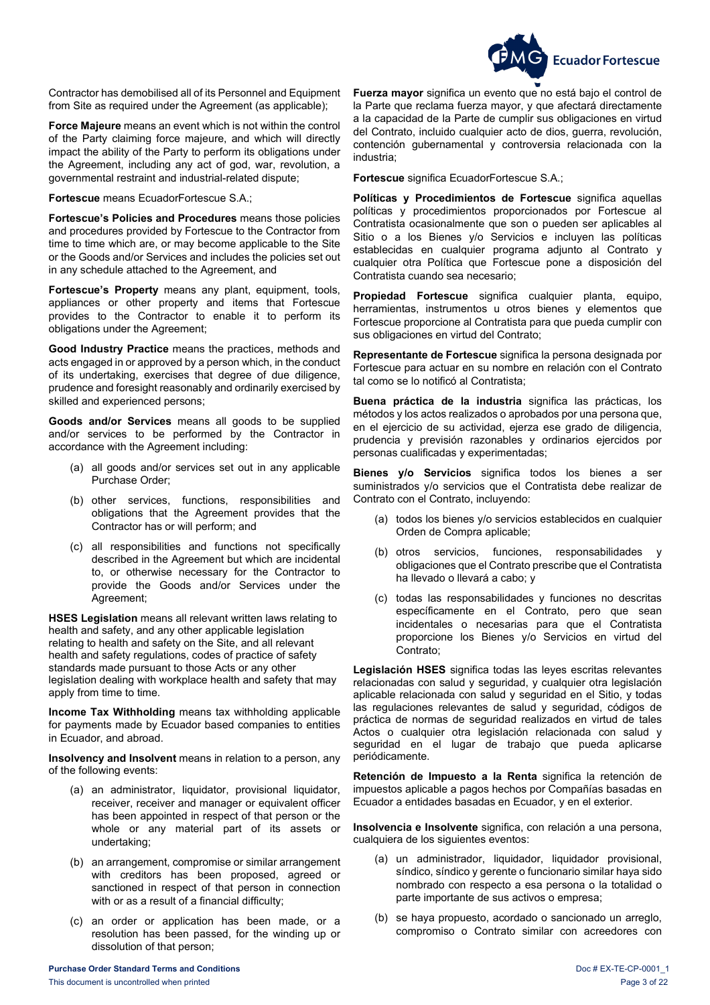

 Contractor has demobilised all of its Personnel and Equipment from Site as required under the Agreement (as applicable);

**Force Majeure** means an event which is not within the control of the Party claiming force majeure, and which will directly impact the ability of the Party to perform its obligations under the Agreement, including any act of god, war, revolution, a governmental restraint and industrial-related dispute;

**Fortescue** means EcuadorFortescue S.A.;

**Fortescue's Policies and Procedures** means those policies and procedures provided by Fortescue to the Contractor from time to time which are, or may become applicable to the Site or the Goods and/or Services and includes the policies set out in any schedule attached to the Agreement, and

**Fortescue's Property** means any plant, equipment, tools, appliances or other property and items that Fortescue provides to the Contractor to enable it to perform its obligations under the Agreement;

**Good Industry Practice** means the practices, methods and acts engaged in or approved by a person which, in the conduct of its undertaking, exercises that degree of due diligence, prudence and foresight reasonably and ordinarily exercised by skilled and experienced persons;

**Goods and/or Services** means all goods to be supplied and/or services to be performed by the Contractor in accordance with the Agreement including:

- (a) all goods and/or services set out in any applicable Purchase Order;
- (b) other services, functions, responsibilities and obligations that the Agreement provides that the Contractor has or will perform; and
- (c) all responsibilities and functions not specifically described in the Agreement but which are incidental to, or otherwise necessary for the Contractor to provide the Goods and/or Services under the Agreement;

**HSES Legislation** means all relevant written laws relating to health and safety, and any other applicable legislation relating to health and safety on the Site, and all relevant health and safety regulations, codes of practice of safety standards made pursuant to those Acts or any other legislation dealing with workplace health and safety that may apply from time to time.

**Income Tax Withholding** means tax withholding applicable for payments made by Ecuador based companies to entities in Ecuador, and abroad.

**Insolvency and Insolvent** means in relation to a person, any of the following events:

- (a) an administrator, liquidator, provisional liquidator, receiver, receiver and manager or equivalent officer has been appointed in respect of that person or the whole or any material part of its assets or undertaking;
- (b) an arrangement, compromise or similar arrangement with creditors has been proposed, agreed or sanctioned in respect of that person in connection with or as a result of a financial difficulty;
- (c) an order or application has been made, or a resolution has been passed, for the winding up or dissolution of that person;

**Fuerza mayor** significa un evento que no está bajo el control de la Parte que reclama fuerza mayor, y que afectará directamente a la capacidad de la Parte de cumplir sus obligaciones en virtud del Contrato, incluido cualquier acto de dios, guerra, revolución, contención gubernamental y controversia relacionada con la industria;

**Fortescue** significa EcuadorFortescue S.A.;

**Políticas y Procedimientos de Fortescue** significa aquellas políticas y procedimientos proporcionados por Fortescue al Contratista ocasionalmente que son o pueden ser aplicables al Sitio o a los Bienes y/o Servicios e incluyen las políticas establecidas en cualquier programa adjunto al Contrato y cualquier otra Política que Fortescue pone a disposición del Contratista cuando sea necesario;

**Propiedad Fortescue** significa cualquier planta, equipo, herramientas, instrumentos u otros bienes y elementos que Fortescue proporcione al Contratista para que pueda cumplir con sus obligaciones en virtud del Contrato;

**Representante de Fortescue** significa la persona designada por Fortescue para actuar en su nombre en relación con el Contrato tal como se lo notificó al Contratista;

**Buena práctica de la industria** significa las prácticas, los métodos y los actos realizados o aprobados por una persona que, en el ejercicio de su actividad, ejerza ese grado de diligencia, prudencia y previsión razonables y ordinarios ejercidos por personas cualificadas y experimentadas;

**Bienes y/o Servicios** significa todos los bienes a ser suministrados y/o servicios que el Contratista debe realizar de Contrato con el Contrato, incluyendo:

- (a) todos los bienes y/o servicios establecidos en cualquier Orden de Compra aplicable;
- (b) otros servicios, funciones, responsabilidades y obligaciones que el Contrato prescribe que el Contratista ha llevado o llevará a cabo; y
- (c) todas las responsabilidades y funciones no descritas específicamente en el Contrato, pero que sean incidentales o necesarias para que el Contratista proporcione los Bienes y/o Servicios en virtud del Contrato;

**Legislación HSES** significa todas las leyes escritas relevantes relacionadas con salud y seguridad, y cualquier otra legislación aplicable relacionada con salud y seguridad en el Sitio, y todas las regulaciones relevantes de salud y seguridad, códigos de práctica de normas de seguridad realizados en virtud de tales Actos o cualquier otra legislación relacionada con salud y seguridad en el lugar de trabajo que pueda aplicarse periódicamente.

**Retención de Impuesto a la Renta** significa la retención de impuestos aplicable a pagos hechos por Compañías basadas en Ecuador a entidades basadas en Ecuador, y en el exterior.

**Insolvencia e Insolvente** significa, con relación a una persona, cualquiera de los siguientes eventos:

- (a) un administrador, liquidador, liquidador provisional, síndico, síndico y gerente o funcionario similar haya sido nombrado con respecto a esa persona o la totalidad o parte importante de sus activos o empresa;
- (b) se haya propuesto, acordado o sancionado un arreglo, compromiso o Contrato similar con acreedores con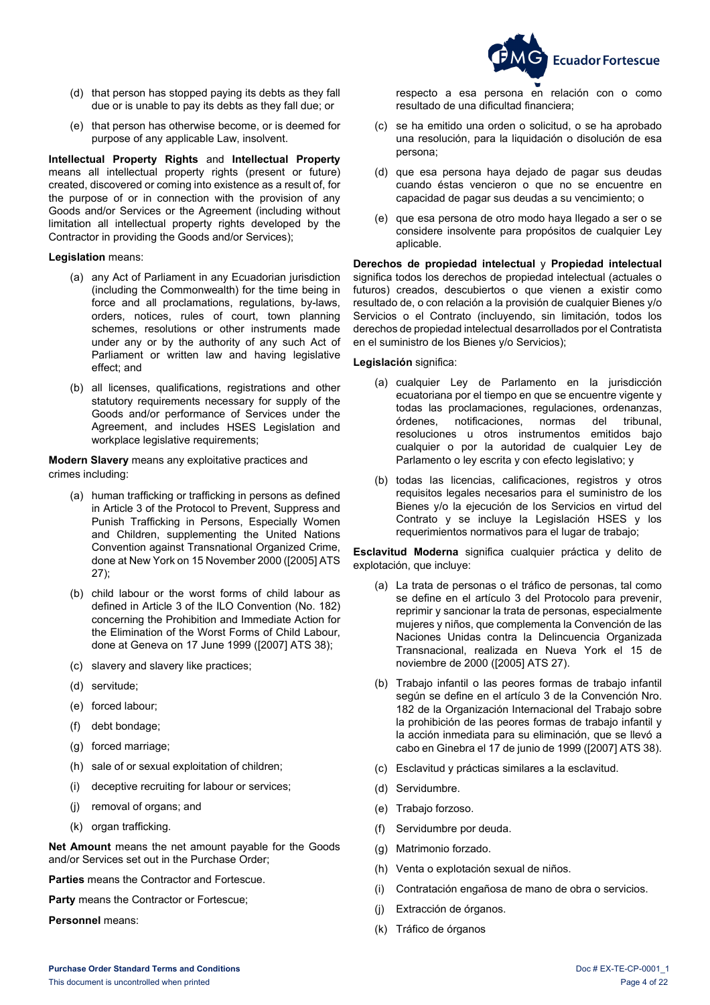**Ecuador Fortescue** 

- (d) that person has stopped paying its debts as they fall due or is unable to pay its debts as they fall due; or
- (e) that person has otherwise become, or is deemed for purpose of any applicable Law, insolvent.

**Intellectual Property Rights** and **Intellectual Property** means all intellectual property rights (present or future) created, discovered or coming into existence as a result of, for the purpose of or in connection with the provision of any Goods and/or Services or the Agreement (including without limitation all intellectual property rights developed by the Contractor in providing the Goods and/or Services);

### **Legislation** means:

- (a) any Act of Parliament in any Ecuadorian jurisdiction (including the Commonwealth) for the time being in force and all proclamations, regulations, by-laws, orders, notices, rules of court, town planning schemes, resolutions or other instruments made under any or by the authority of any such Act of Parliament or written law and having legislative effect; and
- (b) all licenses, qualifications, registrations and other statutory requirements necessary for supply of the Goods and/or performance of Services under the Agreement, and includes HSES Legislation and workplace legislative requirements;

**Modern Slavery** means any exploitative practices and crimes including:

- (a) human trafficking or trafficking in persons as defined in Article 3 of the Protocol to Prevent, Suppress and Punish Trafficking in Persons, Especially Women and Children, supplementing the United Nations Convention against Transnational Organized Crime, done at New York on 15 November 2000 ([2005] ATS 27);
- (b) child labour or the worst forms of child labour as defined in Article 3 of the ILO Convention (No. 182) concerning the Prohibition and Immediate Action for the Elimination of the Worst Forms of Child Labour, done at Geneva on 17 June 1999 ([2007] ATS 38);
- (c) slavery and slavery like practices;
- (d) servitude;
- (e) forced labour;
- (f) debt bondage;
- (g) forced marriage;
- (h) sale of or sexual exploitation of children;
- (i) deceptive recruiting for labour or services;
- (j) removal of organs; and
- (k) organ trafficking.

**Net Amount** means the net amount payable for the Goods and/or Services set out in the Purchase Order;

**Parties** means the Contractor and Fortescue.

**Party** means the Contractor or Fortescue;

**Personnel** means:

respecto a esa persona en relación con o como resultado de una dificultad financiera;

- (c) se ha emitido una orden o solicitud, o se ha aprobado una resolución, para la liquidación o disolución de esa persona;
- (d) que esa persona haya dejado de pagar sus deudas cuando éstas vencieron o que no se encuentre en capacidad de pagar sus deudas a su vencimiento; o
- (e) que esa persona de otro modo haya llegado a ser o se considere insolvente para propósitos de cualquier Ley aplicable.

**Derechos de propiedad intelectual** y **Propiedad intelectual** significa todos los derechos de propiedad intelectual (actuales o futuros) creados, descubiertos o que vienen a existir como resultado de, o con relación a la provisión de cualquier Bienes y/o Servicios o el Contrato (incluyendo, sin limitación, todos los derechos de propiedad intelectual desarrollados por el Contratista en el suministro de los Bienes y/o Servicios);

### **Legislación** significa:

- (a) cualquier Ley de Parlamento en la jurisdicción ecuatoriana por el tiempo en que se encuentre vigente y todas las proclamaciones, regulaciones, ordenanzas, órdenes, notificaciones, normas del tribunal, resoluciones u otros instrumentos emitidos bajo cualquier o por la autoridad de cualquier Ley de Parlamento o ley escrita y con efecto legislativo; y
- (b) todas las licencias, calificaciones, registros y otros requisitos legales necesarios para el suministro de los Bienes y/o la ejecución de los Servicios en virtud del Contrato y se incluye la Legislación HSES y los requerimientos normativos para el lugar de trabajo;

**Esclavitud Moderna** significa cualquier práctica y delito de explotación, que incluye:

- (a) La trata de personas o el tráfico de personas, tal como se define en el artículo 3 del Protocolo para prevenir, reprimir y sancionar la trata de personas, especialmente mujeres y niños, que complementa la Convención de las Naciones Unidas contra la Delincuencia Organizada Transnacional, realizada en Nueva York el 15 de noviembre de 2000 ([2005] ATS 27).
- (b) Trabajo infantil o las peores formas de trabajo infantil según se define en el artículo 3 de la Convención Nro. 182 de la Organización Internacional del Trabajo sobre la prohibición de las peores formas de trabajo infantil y la acción inmediata para su eliminación, que se llevó a cabo en Ginebra el 17 de junio de 1999 ([2007] ATS 38).
- (c) Esclavitud y prácticas similares a la esclavitud.
- (d) Servidumbre.
- (e) Trabajo forzoso.
- (f) Servidumbre por deuda.
- (g) Matrimonio forzado.
- (h) Venta o explotación sexual de niños.
- (i) Contratación engañosa de mano de obra o servicios.
- (j) Extracción de órganos.
- (k) Tráfico de órganos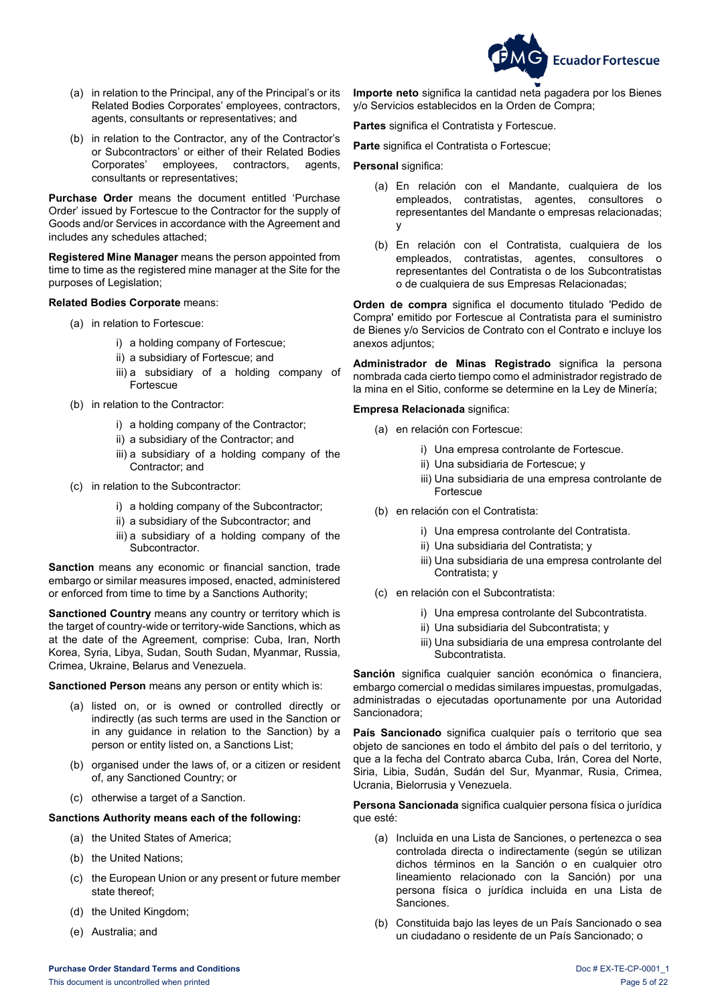

- (a) in relation to the Principal, any of the Principal's or its Related Bodies Corporates' employees, contractors, agents, consultants or representatives; and
- (b) in relation to the Contractor, any of the Contractor's or Subcontractors' or either of their Related Bodies<br>Corporates' employees, contractors, agents, employees, consultants or representatives;

**Purchase Order** means the document entitled 'Purchase Order' issued by Fortescue to the Contractor for the supply of Goods and/or Services in accordance with the Agreement and includes any schedules attached;

**Registered Mine Manager** means the person appointed from time to time as the registered mine manager at the Site for the purposes of Legislation;

### **Related Bodies Corporate** means:

- (a) in relation to Fortescue:
	- i) a holding company of Fortescue;
	- ii) a subsidiary of Fortescue; and
	- iii) a subsidiary of a holding company of Fortescue
- (b) in relation to the Contractor:
	- i) a holding company of the Contractor;
	- ii) a subsidiary of the Contractor; and
	- iii) a subsidiary of a holding company of the Contractor; and
- (c) in relation to the Subcontractor:
	- i) a holding company of the Subcontractor;
	- ii) a subsidiary of the Subcontractor; and
	- iii) a subsidiary of a holding company of the Subcontractor.

**Sanction** means any economic or financial sanction, trade embargo or similar measures imposed, enacted, administered or enforced from time to time by a Sanctions Authority;

**Sanctioned Country** means any country or territory which is the target of country-wide or territory-wide Sanctions, which as at the date of the Agreement, comprise: Cuba, Iran, North Korea, Syria, Libya, Sudan, South Sudan, Myanmar, Russia, Crimea, Ukraine, Belarus and Venezuela.

**Sanctioned Person** means any person or entity which is:

- (a) listed on, or is owned or controlled directly or indirectly (as such terms are used in the Sanction or in any guidance in relation to the Sanction) by a person or entity listed on, a Sanctions List;
- (b) organised under the laws of, or a citizen or resident of, any Sanctioned Country; or
- (c) otherwise a target of a Sanction.

#### **Sanctions Authority means each of the following:**

- (a) the United States of America;
- (b) the United Nations;
- (c) the European Union or any present or future member state thereof;
- (d) the United Kingdom;
- (e) Australia; and

**Importe neto** significa la cantidad neta pagadera por los Bienes y/o Servicios establecidos en la Orden de Compra;

**Partes** significa el Contratista y Fortescue.

**Parte** significa el Contratista o Fortescue;

### **Personal** significa:

- (a) En relación con el Mandante, cualquiera de los empleados, contratistas, agentes, consultores o representantes del Mandante o empresas relacionadas; y
- (b) En relación con el Contratista, cualquiera de los empleados, contratistas, agentes, consultores o representantes del Contratista o de los Subcontratistas o de cualquiera de sus Empresas Relacionadas;

**Orden de compra** significa el documento titulado 'Pedido de Compra' emitido por Fortescue al Contratista para el suministro de Bienes y/o Servicios de Contrato con el Contrato e incluye los anexos adjuntos;

**Administrador de Minas Registrado** significa la persona nombrada cada cierto tiempo como el administrador registrado de la mina en el Sitio, conforme se determine en la Ley de Minería;

**Empresa Relacionada** significa:

- (a) en relación con Fortescue:
	- i) Una empresa controlante de Fortescue.
	- ii) Una subsidiaria de Fortescue; y
	- iii) Una subsidiaria de una empresa controlante de Fortescue
- (b) en relación con el Contratista:
	- i) Una empresa controlante del Contratista.
	- ii) Una subsidiaria del Contratista; y
	- iii) Una subsidiaria de una empresa controlante del Contratista; y
- (c) en relación con el Subcontratista:
	- i) Una empresa controlante del Subcontratista.
	- ii) Una subsidiaria del Subcontratista; y
	- iii) Una subsidiaria de una empresa controlante del Subcontratista.

**Sanción** significa cualquier sanción económica o financiera, embargo comercial o medidas similares impuestas, promulgadas, administradas o ejecutadas oportunamente por una Autoridad Sancionadora;

**País Sancionado** significa cualquier país o territorio que sea objeto de sanciones en todo el ámbito del país o del territorio, y que a la fecha del Contrato abarca Cuba, Irán, Corea del Norte, Siria, Libia, Sudán, Sudán del Sur, Myanmar, Rusia, Crimea, Ucrania, Bielorrusia y Venezuela.

**Persona Sancionada** significa cualquier persona física o jurídica que esté:

- (a) Incluida en una Lista de Sanciones, o pertenezca o sea controlada directa o indirectamente (según se utilizan dichos términos en la Sanción o en cualquier otro lineamiento relacionado con la Sanción) por una persona física o jurídica incluida en una Lista de Sanciones.
- (b) Constituida bajo las leyes de un País Sancionado o sea un ciudadano o residente de un País Sancionado; o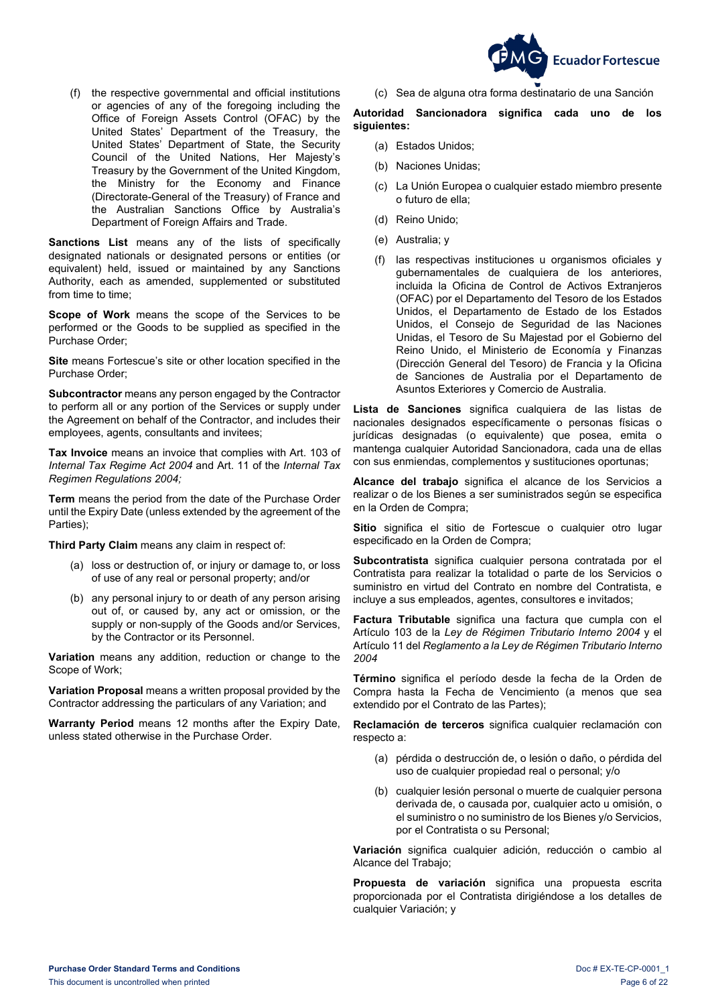**Ecuador Fortescue** 

 (f) the respective governmental and official institutions or agencies of any of the foregoing including the Office of Foreign Assets Control (OFAC) by the United States' Department of the Treasury, the United States' Department of State, the Security Council of the United Nations, Her Majesty's Treasury by the Government of the United Kingdom, the Ministry for the Economy and Finance (Directorate-General of the Treasury) of France and the Australian Sanctions Office by Australia's Department of Foreign Affairs and Trade.

**Sanctions List** means any of the lists of specifically designated nationals or designated persons or entities (or equivalent) held, issued or maintained by any Sanctions Authority, each as amended, supplemented or substituted from time to time;

**Scope of Work** means the scope of the Services to be performed or the Goods to be supplied as specified in the Purchase Order;

**Site** means Fortescue's site or other location specified in the Purchase Order;

**Subcontractor** means any person engaged by the Contractor to perform all or any portion of the Services or supply under the Agreement on behalf of the Contractor, and includes their employees, agents, consultants and invitees;

**Tax Invoice** means an invoice that complies with Art. 103 of *Internal Tax Regime Act 2004* and Art. 11 of the *Internal Tax Regimen Regulations 2004;*

**Term** means the period from the date of the Purchase Order until the Expiry Date (unless extended by the agreement of the Parties);

**Third Party Claim** means any claim in respect of:

- (a) loss or destruction of, or injury or damage to, or loss of use of any real or personal property; and/or
- (b) any personal injury to or death of any person arising out of, or caused by, any act or omission, or the supply or non-supply of the Goods and/or Services, by the Contractor or its Personnel.

**Variation** means any addition, reduction or change to the Scope of Work;

**Variation Proposal** means a written proposal provided by the Contractor addressing the particulars of any Variation; and

**Warranty Period** means 12 months after the Expiry Date, unless stated otherwise in the Purchase Order.

(c) Sea de alguna otra forma destinatario de una Sanción

**Autoridad Sancionadora significa cada uno de los siguientes:**

- (a) Estados Unidos;
- (b) Naciones Unidas;
- (c) La Unión Europea o cualquier estado miembro presente o futuro de ella;
- (d) Reino Unido;
- (e) Australia; y
- (f) las respectivas instituciones u organismos oficiales y gubernamentales de cualquiera de los anteriores, incluida la Oficina de Control de Activos Extranjeros (OFAC) por el Departamento del Tesoro de los Estados Unidos, el Departamento de Estado de los Estados Unidos, el Consejo de Seguridad de las Naciones Unidas, el Tesoro de Su Majestad por el Gobierno del Reino Unido, el Ministerio de Economía y Finanzas (Dirección General del Tesoro) de Francia y la Oficina de Sanciones de Australia por el Departamento de Asuntos Exteriores y Comercio de Australia.

**Lista de Sanciones** significa cualquiera de las listas de nacionales designados específicamente o personas físicas o jurídicas designadas (o equivalente) que posea, emita o mantenga cualquier Autoridad Sancionadora, cada una de ellas con sus enmiendas, complementos y sustituciones oportunas;

**Alcance del trabajo** significa el alcance de los Servicios a realizar o de los Bienes a ser suministrados según se especifica en la Orden de Compra;

**Sitio** significa el sitio de Fortescue o cualquier otro lugar especificado en la Orden de Compra;

**Subcontratista** significa cualquier persona contratada por el Contratista para realizar la totalidad o parte de los Servicios o suministro en virtud del Contrato en nombre del Contratista, e incluye a sus empleados, agentes, consultores e invitados;

**Factura Tributable** significa una factura que cumpla con el Artículo 103 de la *Ley de Régimen Tributario Interno 2004* y el Artículo 11 del *Reglamento a la Ley de Régimen Tributario Interno 2004*

**Término** significa el período desde la fecha de la Orden de Compra hasta la Fecha de Vencimiento (a menos que sea extendido por el Contrato de las Partes);

**Reclamación de terceros** significa cualquier reclamación con respecto a:

- (a) pérdida o destrucción de, o lesión o daño, o pérdida del uso de cualquier propiedad real o personal; y/o
- (b) cualquier lesión personal o muerte de cualquier persona derivada de, o causada por, cualquier acto u omisión, o el suministro o no suministro de los Bienes y/o Servicios, por el Contratista o su Personal;

**Variación** significa cualquier adición, reducción o cambio al Alcance del Trabajo;

**Propuesta de variación** significa una propuesta escrita proporcionada por el Contratista dirigiéndose a los detalles de cualquier Variación; y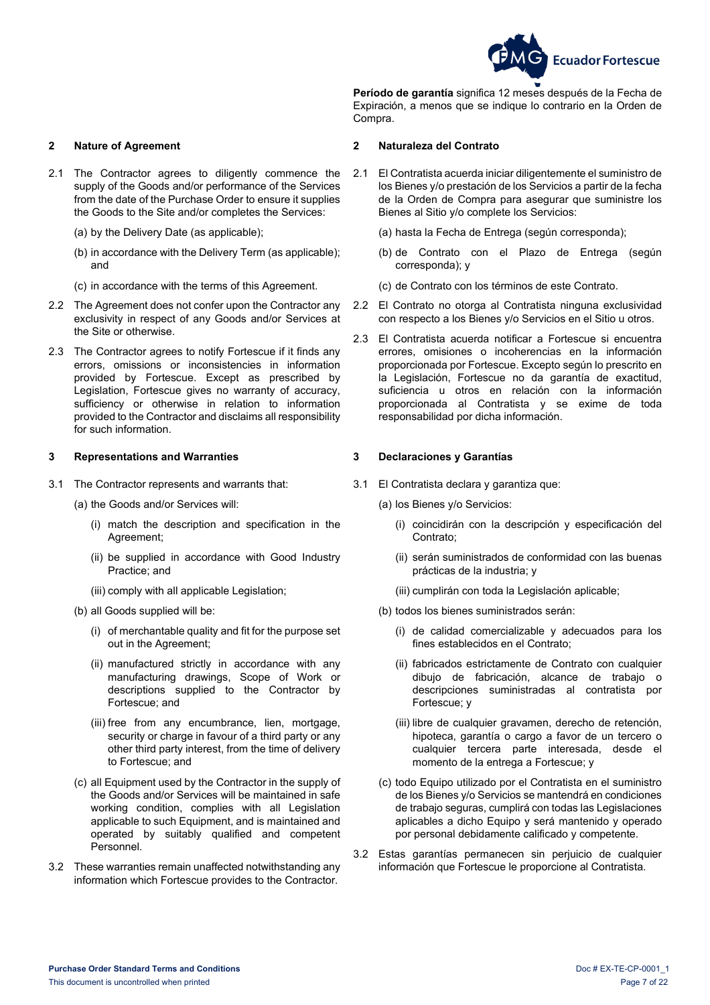

**Período de garantía** significa 12 meses después de la Fecha de Expiración, a menos que se indique lo contrario en la Orden de Compra.

### <span id="page-6-0"></span>**2 Nature of Agreement 2 Naturaleza del Contrato**

- 2.1 The Contractor agrees to diligently commence the supply of the Goods and/or performance of the Services from the date of the Purchase Order to ensure it supplies the Goods to the Site and/or completes the Services:
	- (a) by the Delivery Date (as applicable);
	- (b) in accordance with the Delivery Term (as applicable); and
	- (c) in accordance with the terms of this Agreement.
- 2.2 The Agreement does not confer upon the Contractor any exclusivity in respect of any Goods and/or Services at the Site or otherwise.
- 2.3 The Contractor agrees to notify Fortescue if it finds any errors, omissions or inconsistencies in information provided by Fortescue. Except as prescribed by Legislation, Fortescue gives no warranty of accuracy, sufficiency or otherwise in relation to information provided to the Contractor and disclaims all responsibility for such information.

#### <span id="page-6-1"></span>**3 Representations and Warranties 3 Declaraciones y Garantías**

- 3.1 The Contractor represents and warrants that:
	- (a) the Goods and/or Services will:
		- (i) match the description and specification in the Agreement;
		- (ii) be supplied in accordance with Good Industry Practice; and
		- (iii) comply with all applicable Legislation;
	- (b) all Goods supplied will be:
		- (i) of merchantable quality and fit for the purpose set out in the Agreement;
		- (ii) manufactured strictly in accordance with any manufacturing drawings, Scope of Work or descriptions supplied to the Contractor by Fortescue; and
		- (iii) free from any encumbrance, lien, mortgage, security or charge in favour of a third party or any other third party interest, from the time of delivery to Fortescue; and
	- (c) all Equipment used by the Contractor in the supply of the Goods and/or Services will be maintained in safe working condition, complies with all Legislation applicable to such Equipment, and is maintained and operated by suitably qualified and competent Personnel.
- 3.2 These warranties remain unaffected notwithstanding any information which Fortescue provides to the Contractor.

- 2.1 El Contratista acuerda iniciar diligentemente el suministro de los Bienes y/o prestación de los Servicios a partir de la fecha de la Orden de Compra para asegurar que suministre los Bienes al Sitio y/o complete los Servicios:
	- (a) hasta la Fecha de Entrega (según corresponda);
	- (b) de Contrato con el Plazo de Entrega (según corresponda); y
	- (c) de Contrato con los términos de este Contrato.
- 2.2 El Contrato no otorga al Contratista ninguna exclusividad con respecto a los Bienes y/o Servicios en el Sitio u otros.
- 2.3 El Contratista acuerda notificar a Fortescue si encuentra errores, omisiones o incoherencias en la información proporcionada por Fortescue. Excepto según lo prescrito en la Legislación, Fortescue no da garantía de exactitud, suficiencia u otros en relación con la información proporcionada al Contratista y se exime de toda responsabilidad por dicha información.

- <span id="page-6-2"></span>3.1 El Contratista declara y garantiza que:
	- (a) los Bienes y/o Servicios:
		- (i) coincidirán con la descripción y especificación del Contrato;
		- (ii) serán suministrados de conformidad con las buenas prácticas de la industria; y
		- (iii) cumplirán con toda la Legislación aplicable;
	- (b) todos los bienes suministrados serán:
		- (i) de calidad comercializable y adecuados para los fines establecidos en el Contrato;
		- (ii) fabricados estrictamente de Contrato con cualquier dibujo de fabricación, alcance de trabajo o descripciones suministradas al contratista por Fortescue; y
		- (iii) libre de cualquier gravamen, derecho de retención, hipoteca, garantía o cargo a favor de un tercero o cualquier tercera parte interesada, desde el momento de la entrega a Fortescue; y
	- (c) todo Equipo utilizado por el Contratista en el suministro de los Bienes y/o Servicios se mantendrá en condiciones de trabajo seguras, cumplirá con todas las Legislaciones aplicables a dicho Equipo y será mantenido y operado por personal debidamente calificado y competente.
- 3.2 Estas garantías permanecen sin perjuicio de cualquier información que Fortescue le proporcione al Contratista.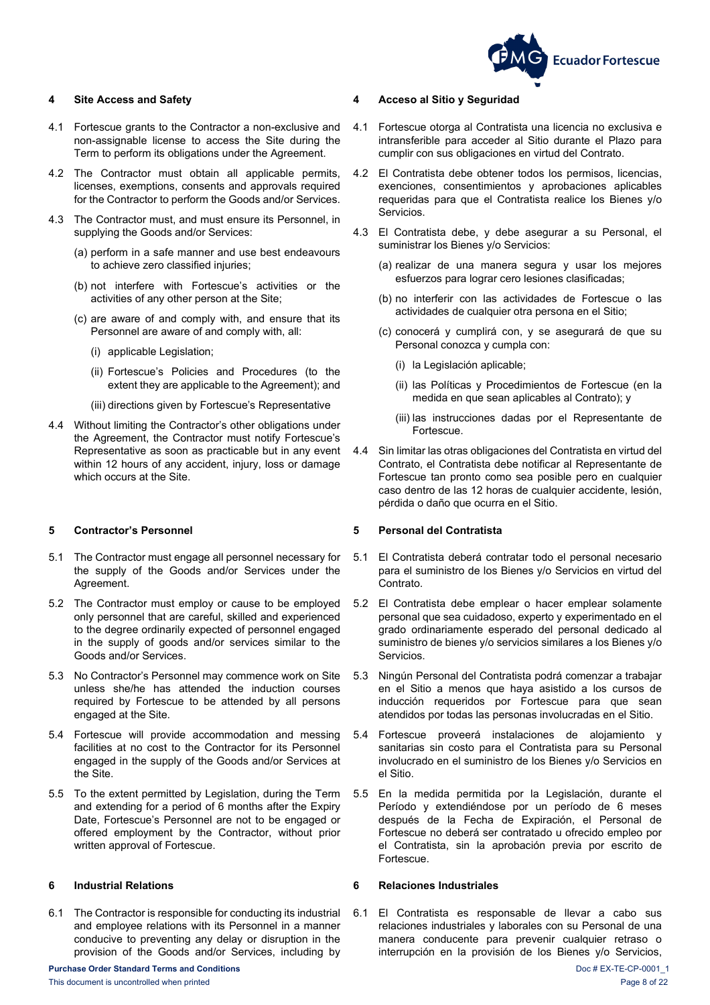

- 4.1 Fortescue grants to the Contractor a non-exclusive and non-assignable license to access the Site during the Term to perform its obligations under the Agreement.
- 4.2 The Contractor must obtain all applicable permits, licenses, exemptions, consents and approvals required for the Contractor to perform the Goods and/or Services.
- 4.3 The Contractor must, and must ensure its Personnel, in supplying the Goods and/or Services:
	- (a) perform in a safe manner and use best endeavours to achieve zero classified injuries;
	- (b) not interfere with Fortescue's activities or the activities of any other person at the Site;
	- (c) are aware of and comply with, and ensure that its Personnel are aware of and comply with, all:
		- (i) applicable Legislation;
		- (ii) Fortescue's Policies and Procedures (to the extent they are applicable to the Agreement); and
		- (iii) directions given by Fortescue's Representative
- 4.4 Without limiting the Contractor's other obligations under the Agreement, the Contractor must notify Fortescue's Representative as soon as practicable but in any event within 12 hours of any accident, injury, loss or damage which occurs at the Site.

- 5.1 The Contractor must engage all personnel necessary for the supply of the Goods and/or Services under the Agreement.
- 5.2 The Contractor must employ or cause to be employed only personnel that are careful, skilled and experienced to the degree ordinarily expected of personnel engaged in the supply of goods and/or services similar to the Goods and/or Services.
- 5.3 No Contractor's Personnel may commence work on Site unless she/he has attended the induction courses required by Fortescue to be attended by all persons engaged at the Site.
- 5.4 Fortescue will provide accommodation and messing facilities at no cost to the Contractor for its Personnel engaged in the supply of the Goods and/or Services at the Site.
- 5.5 To the extent permitted by Legislation, during the Term and extending for a period of 6 months after the Expiry Date, Fortescue's Personnel are not to be engaged or offered employment by the Contractor, without prior written approval of Fortescue.

6.1 The Contractor is responsible for conducting its industrial and employee relations with its Personnel in a manner conducive to preventing any delay or disruption in the provision of the Goods and/or Services, including by

#### <span id="page-7-0"></span>**4 Site Access and Safety 4 Acceso al Sitio y Seguridad**

- 4.1 Fortescue otorga al Contratista una licencia no exclusiva e intransferible para acceder al Sitio durante el Plazo para cumplir con sus obligaciones en virtud del Contrato.
- 4.2 El Contratista debe obtener todos los permisos, licencias, exenciones, consentimientos y aprobaciones aplicables requeridas para que el Contratista realice los Bienes y/o Servicios.
- 4.3 El Contratista debe, y debe asegurar a su Personal, el suministrar los Bienes y/o Servicios:
	- (a) realizar de una manera segura y usar los mejores esfuerzos para lograr cero lesiones clasificadas;
	- (b) no interferir con las actividades de Fortescue o las actividades de cualquier otra persona en el Sitio;
	- (c) conocerá y cumplirá con, y se asegurará de que su Personal conozca y cumpla con:
		- (i) la Legislación aplicable;
		- (ii) las Políticas y Procedimientos de Fortescue (en la medida en que sean aplicables al Contrato); y
		- (iii) las instrucciones dadas por el Representante de Fortescue.
- 4.4 Sin limitar las otras obligaciones del Contratista en virtud del Contrato, el Contratista debe notificar al Representante de Fortescue tan pronto como sea posible pero en cualquier caso dentro de las 12 horas de cualquier accidente, lesión, pérdida o daño que ocurra en el Sitio.

### <span id="page-7-1"></span>**5 Contractor's Personnel 5 Personal del Contratista**

- 5.1 El Contratista deberá contratar todo el personal necesario para el suministro de los Bienes y/o Servicios en virtud del Contrato.
- 5.2 El Contratista debe emplear o hacer emplear solamente personal que sea cuidadoso, experto y experimentado en el grado ordinariamente esperado del personal dedicado al suministro de bienes y/o servicios similares a los Bienes y/o Servicios.
- 5.3 Ningún Personal del Contratista podrá comenzar a trabajar en el Sitio a menos que haya asistido a los cursos de inducción requeridos por Fortescue para que sean atendidos por todas las personas involucradas en el Sitio.
- 5.4 Fortescue proveerá instalaciones de alojamiento y sanitarias sin costo para el Contratista para su Personal involucrado en el suministro de los Bienes y/o Servicios en el Sitio.
- 5.5 En la medida permitida por la Legislación, durante el Período y extendiéndose por un período de 6 meses después de la Fecha de Expiración, el Personal de Fortescue no deberá ser contratado u ofrecido empleo por el Contratista, sin la aprobación previa por escrito de Fortescue.

### <span id="page-7-2"></span>**6 Industrial Relations 6 Relaciones Industriales**

6.1 El Contratista es responsable de llevar a cabo sus relaciones industriales y laborales con su Personal de una manera conducente para prevenir cualquier retraso o interrupción en la provisión de los Bienes y/o Servicios,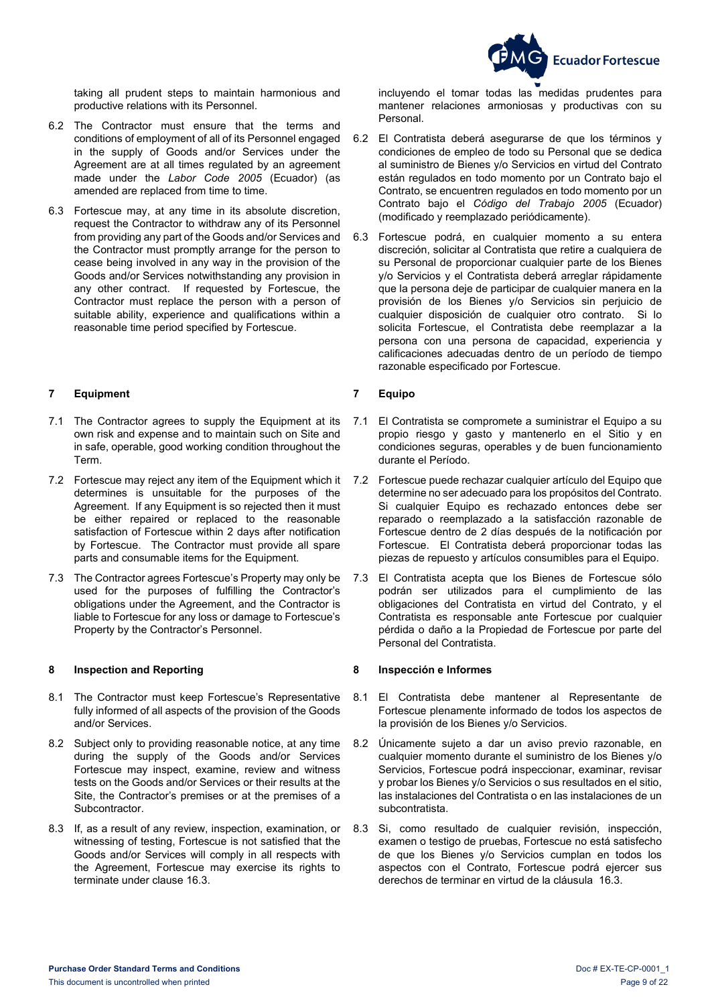

 taking all prudent steps to maintain harmonious and productive relations with its Personnel.

- 6.2 The Contractor must ensure that the terms and conditions of employment of all of its Personnel engaged in the supply of Goods and/or Services under the Agreement are at all times regulated by an agreement made under the *Labor Code 2005* (Ecuador) (as amended are replaced from time to time.
- 6.3 Fortescue may, at any time in its absolute discretion, request the Contractor to withdraw any of its Personnel from providing any part of the Goods and/or Services and the Contractor must promptly arrange for the person to cease being involved in any way in the provision of the Goods and/or Services notwithstanding any provision in any other contract. If requested by Fortescue, the Contractor must replace the person with a person of suitable ability, experience and qualifications within a reasonable time period specified by Fortescue.

### <span id="page-8-0"></span>**7 Equipment 7 Equipo**

- 7.1 The Contractor agrees to supply the Equipment at its own risk and expense and to maintain such on Site and in safe, operable, good working condition throughout the Term.
- 7.2 Fortescue may reject any item of the Equipment which it determines is unsuitable for the purposes of the Agreement. If any Equipment is so rejected then it must be either repaired or replaced to the reasonable satisfaction of Fortescue within 2 days after notification by Fortescue. The Contractor must provide all spare parts and consumable items for the Equipment.
- 7.3 The Contractor agrees Fortescue's Property may only be used for the purposes of fulfilling the Contractor's obligations under the Agreement, and the Contractor is liable to Fortescue for any loss or damage to Fortescue's Property by the Contractor's Personnel.

### <span id="page-8-1"></span>**8 Inspection and Reporting 8 Inspección e Informes**

- 8.1 The Contractor must keep Fortescue's Representative fully informed of all aspects of the provision of the Goods and/or Services.
- 8.2 Subject only to providing reasonable notice, at any time during the supply of the Goods and/or Services Fortescue may inspect, examine, review and witness tests on the Goods and/or Services or their results at the Site, the Contractor's premises or at the premises of a Subcontractor.
- 8.3 If, as a result of any review, inspection, examination, or witnessing of testing, Fortescue is not satisfied that the Goods and/or Services will comply in all respects with the Agreement, Fortescue may exercise its rights to terminate under clause [16.3.](#page-11-2)

incluyendo el tomar todas las medidas prudentes para mantener relaciones armoniosas y productivas con su Personal.

- 6.2 El Contratista deberá asegurarse de que los términos y condiciones de empleo de todo su Personal que se dedica al suministro de Bienes y/o Servicios en virtud del Contrato están regulados en todo momento por un Contrato bajo el Contrato, se encuentren regulados en todo momento por un Contrato bajo el *Código del Trabajo 2005* (Ecuador) (modificado y reemplazado periódicamente).
- 6.3 Fortescue podrá, en cualquier momento a su entera discreción, solicitar al Contratista que retire a cualquiera de su Personal de proporcionar cualquier parte de los Bienes y/o Servicios y el Contratista deberá arreglar rápidamente que la persona deje de participar de cualquier manera en la provisión de los Bienes y/o Servicios sin perjuicio de cualquier disposición de cualquier otro contrato. Si lo solicita Fortescue, el Contratista debe reemplazar a la persona con una persona de capacidad, experiencia y calificaciones adecuadas dentro de un período de tiempo razonable especificado por Fortescue.

- 7.1 El Contratista se compromete a suministrar el Equipo a su propio riesgo y gasto y mantenerlo en el Sitio y en condiciones seguras, operables y de buen funcionamiento durante el Período.
- 7.2 Fortescue puede rechazar cualquier artículo del Equipo que determine no ser adecuado para los propósitos del Contrato. Si cualquier Equipo es rechazado entonces debe ser reparado o reemplazado a la satisfacción razonable de Fortescue dentro de 2 días después de la notificación por Fortescue. El Contratista deberá proporcionar todas las piezas de repuesto y artículos consumibles para el Equipo.
- 7.3 El Contratista acepta que los Bienes de Fortescue sólo podrán ser utilizados para el cumplimiento de las obligaciones del Contratista en virtud del Contrato, y el Contratista es responsable ante Fortescue por cualquier pérdida o daño a la Propiedad de Fortescue por parte del Personal del Contratista.

- 8.1 El Contratista debe mantener al Representante de Fortescue plenamente informado de todos los aspectos de la provisión de los Bienes y/o Servicios.
- 8.2 Únicamente sujeto a dar un aviso previo razonable, en cualquier momento durante el suministro de los Bienes y/o Servicios, Fortescue podrá inspeccionar, examinar, revisar y probar los Bienes y/o Servicios o sus resultados en el sitio, las instalaciones del Contratista o en las instalaciones de un subcontratista.
- 8.3 Si, como resultado de cualquier revisión, inspección, examen o testigo de pruebas, Fortescue no está satisfecho de que los Bienes y/o Servicios cumplan en todos los aspectos con el Contrato, Fortescue podrá ejercer sus derechos de terminar en virtud de la cláusula [16.3.](#page-11-2)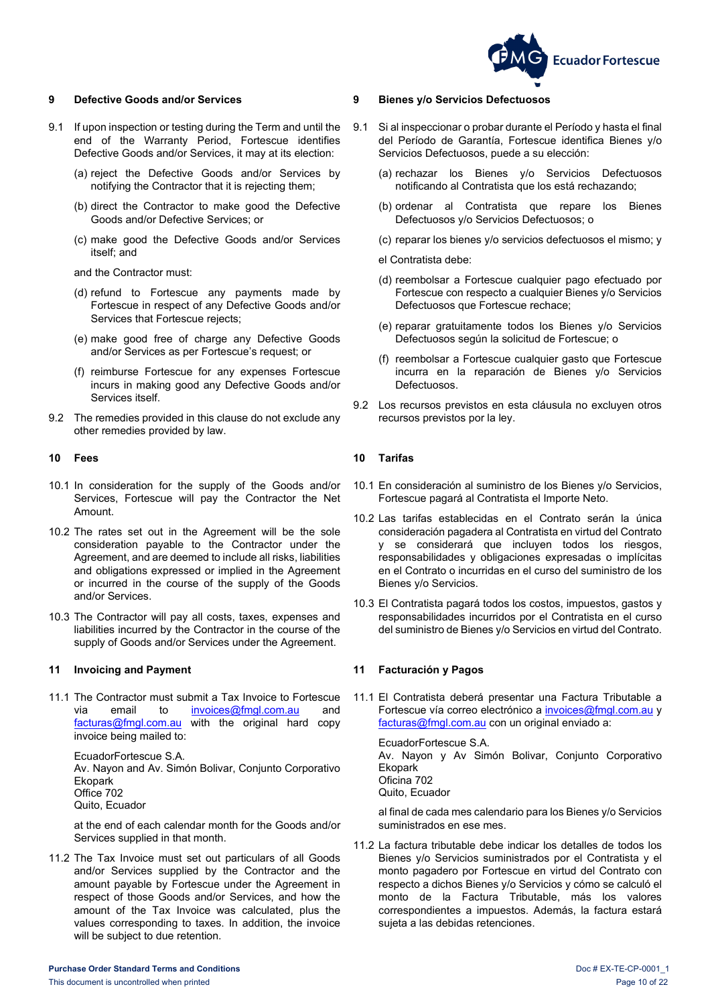

### <span id="page-9-0"></span>**9 Defective Goods and/or Services 9 Bienes y/o Servicios Defectuosos**

- 9.1 If upon inspection or testing during the Term and until the end of the Warranty Period, Fortescue identifies Defective Goods and/or Services, it may at its election:
	- (a) reject the Defective Goods and/or Services by notifying the Contractor that it is rejecting them;
	- (b) direct the Contractor to make good the Defective Goods and/or Defective Services; or
	- (c) make good the Defective Goods and/or Services itself; and

and the Contractor must:

- (d) refund to Fortescue any payments made by Fortescue in respect of any Defective Goods and/or Services that Fortescue rejects;
- (e) make good free of charge any Defective Goods and/or Services as per Fortescue's request; or
- (f) reimburse Fortescue for any expenses Fortescue incurs in making good any Defective Goods and/or Services itself.
- 9.2 The remedies provided in this clause do not exclude any other remedies provided by law.

- 10.1 In consideration for the supply of the Goods and/or Services, Fortescue will pay the Contractor the Net Amount.
- 10.2 The rates set out in the Agreement will be the sole consideration payable to the Contractor under the Agreement, and are deemed to include all risks, liabilities and obligations expressed or implied in the Agreement or incurred in the course of the supply of the Goods and/or Services.
- 10.3 The Contractor will pay all costs, taxes, expenses and liabilities incurred by the Contractor in the course of the supply of Goods and/or Services under the Agreement.

#### <span id="page-9-2"></span>**11 Invoicing and Payment 11 Facturación y Pagos**

11.1 The Contractor must submit a Tax Invoice to Fortescue via email to [invoices@fmgl.com.au](mailto:invoices@fmgl.com.au) and [facturas@fmgl.com.au](mailto:facturas@fmgl.com.au) with the original hard copy invoice being mailed to:

EcuadorFortescue S.A. Av. Nayon and Av. Simón Bolivar, Conjunto Corporativo Ekopark Office 702 Quito, Ecuador

at the end of each calendar month for the Goods and/or Services supplied in that month.

11.2 The Tax Invoice must set out particulars of all Goods and/or Services supplied by the Contractor and the amount payable by Fortescue under the Agreement in respect of those Goods and/or Services, and how the amount of the Tax Invoice was calculated, plus the values corresponding to taxes. In addition, the invoice will be subject to due retention.

- <span id="page-9-3"></span>9.1 Si al inspeccionar o probar durante el Período y hasta el final del Período de Garantía, Fortescue identifica Bienes y/o Servicios Defectuosos, puede a su elección:
	- (a) rechazar los Bienes y/o Servicios Defectuosos notificando al Contratista que los está rechazando;
	- (b) ordenar al Contratista que repare los Bienes Defectuosos y/o Servicios Defectuosos; o
	- (c) reparar los bienes y/o servicios defectuosos el mismo; y

el Contratista debe:

- (d) reembolsar a Fortescue cualquier pago efectuado por Fortescue con respecto a cualquier Bienes y/o Servicios Defectuosos que Fortescue rechace;
- (e) reparar gratuitamente todos los Bienes y/o Servicios Defectuosos según la solicitud de Fortescue; o
- (f) reembolsar a Fortescue cualquier gasto que Fortescue incurra en la reparación de Bienes y/o Servicios Defectuosos.
- 9.2 Los recursos previstos en esta cláusula no excluyen otros recursos previstos por la ley.

### <span id="page-9-1"></span>**10 Fees 10 Tarifas**

- 10.1 En consideración al suministro de los Bienes y/o Servicios, Fortescue pagará al Contratista el Importe Neto.
- 10.2 Las tarifas establecidas en el Contrato serán la única consideración pagadera al Contratista en virtud del Contrato y se considerará que incluyen todos los riesgos, responsabilidades y obligaciones expresadas o implícitas en el Contrato o incurridas en el curso del suministro de los Bienes y/o Servicios.
- 10.3 El Contratista pagará todos los costos, impuestos, gastos y responsabilidades incurridos por el Contratista en el curso del suministro de Bienes y/o Servicios en virtud del Contrato.

11.1 El Contratista deberá presentar una Factura Tributable a Fortescue vía correo electrónico [a invoices@fmgl.com.au](mailto:invoices@fmgl.com.au) y [facturas@fmgl.com.au](mailto:facturas@fmgl.com.au) con un original enviado a:

EcuadorFortescue S.A. Av. Nayon y Av Simón Bolivar, Conjunto Corporativo Ekopark Oficina 702

Quito, Ecuador

al final de cada mes calendario para los Bienes y/o Servicios suministrados en ese mes.

11.2 La factura tributable debe indicar los detalles de todos los Bienes y/o Servicios suministrados por el Contratista y el monto pagadero por Fortescue en virtud del Contrato con respecto a dichos Bienes y/o Servicios y cómo se calculó el monto de la Factura Tributable, más los valores correspondientes a impuestos. Además, la factura estará sujeta a las debidas retenciones.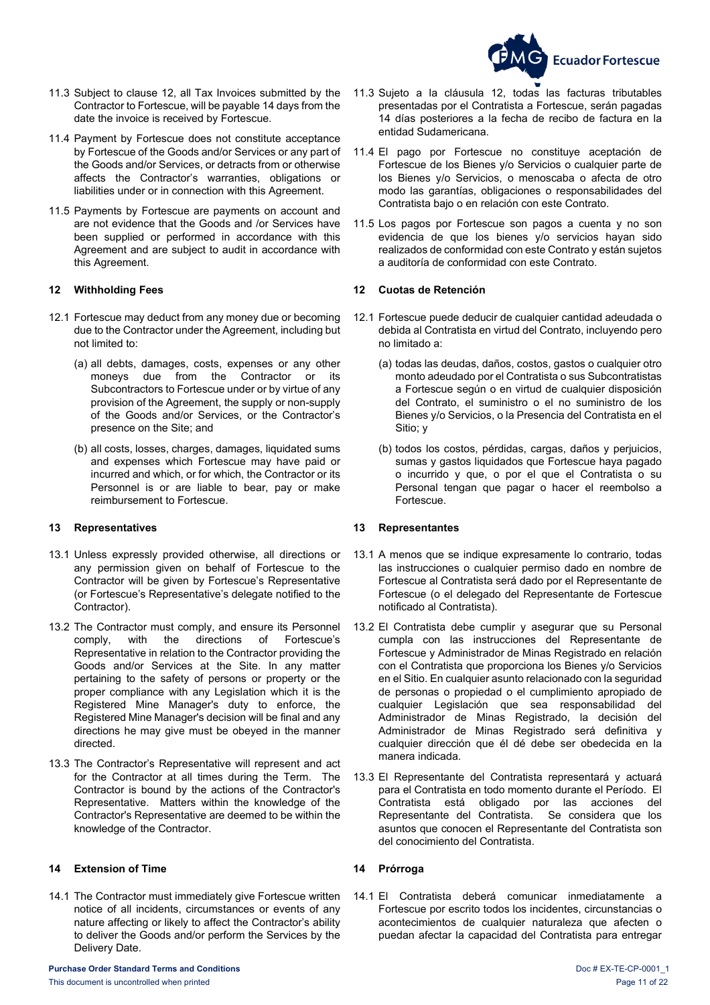

- 11.3 Subject to clause [12,](#page-10-0) all Tax Invoices submitted by the Contractor to Fortescue, will be payable 14 days from the date the invoice is received by Fortescue.
- 11.4 Payment by Fortescue does not constitute acceptance by Fortescue of the Goods and/or Services or any part of the Goods and/or Services, or detracts from or otherwise affects the Contractor's warranties, obligations or liabilities under or in connection with this Agreement.
- 11.5 Payments by Fortescue are payments on account and are not evidence that the Goods and /or Services have been supplied or performed in accordance with this Agreement and are subject to audit in accordance with this Agreement.

- 12.1 Fortescue may deduct from any money due or becoming due to the Contractor under the Agreement, including but not limited to:
	- (a) all debts, damages, costs, expenses or any other moneys due from the Contractor or its Subcontractors to Fortescue under or by virtue of any provision of the Agreement, the supply or non-supply of the Goods and/or Services, or the Contractor's presence on the Site; and
	- (b) all costs, losses, charges, damages, liquidated sums and expenses which Fortescue may have paid or incurred and which, or for which, the Contractor or its Personnel is or are liable to bear, pay or make reimbursement to Fortescue.

### <span id="page-10-1"></span>**13 Representatives 13 Representantes**

- 13.1 Unless expressly provided otherwise, all directions or any permission given on behalf of Fortescue to the Contractor will be given by Fortescue's Representative (or Fortescue's Representative's delegate notified to the Contractor).
- 13.2 The Contractor must comply, and ensure its Personnel<br>comply, with the directions of Fortescue's comply, with the Representative in relation to the Contractor providing the Goods and/or Services at the Site. In any matter pertaining to the safety of persons or property or the proper compliance with any Legislation which it is the Registered Mine Manager's duty to enforce, the Registered Mine Manager's decision will be final and any directions he may give must be obeyed in the manner directed.
- 13.3 The Contractor's Representative will represent and act for the Contractor at all times during the Term. The Contractor is bound by the actions of the Contractor's Representative. Matters within the knowledge of the Contractor's Representative are deemed to be within the knowledge of the Contractor.

### <span id="page-10-2"></span>**14 Extension of Time 14 Prórroga**

<span id="page-10-4"></span>14.1 The Contractor must immediately give Fortescue written notice of all incidents, circumstances or events of any nature affecting or likely to affect the Contractor's ability to deliver the Goods and/or perform the Services by the Delivery Date.

- 11.3 Sujeto a la cláusula [12,](#page-10-3) todas las facturas tributables presentadas por el Contratista a Fortescue, serán pagadas 14 días posteriores a la fecha de recibo de factura en la entidad Sudamericana.
- 11.4 El pago por Fortescue no constituye aceptación de Fortescue de los Bienes y/o Servicios o cualquier parte de los Bienes y/o Servicios, o menoscaba o afecta de otro modo las garantías, obligaciones o responsabilidades del Contratista bajo o en relación con este Contrato.
- 11.5 Los pagos por Fortescue son pagos a cuenta y no son evidencia de que los bienes y/o servicios hayan sido realizados de conformidad con este Contrato y están sujetos a auditoría de conformidad con este Contrato.

### <span id="page-10-0"></span>**12 Withholding Fees 12 Cuotas de Retención**

- <span id="page-10-3"></span>12.1 Fortescue puede deducir de cualquier cantidad adeudada o debida al Contratista en virtud del Contrato, incluyendo pero no limitado a:
	- (a) todas las deudas, daños, costos, gastos o cualquier otro monto adeudado por el Contratista o sus Subcontratistas a Fortescue según o en virtud de cualquier disposición del Contrato, el suministro o el no suministro de los Bienes y/o Servicios, o la Presencia del Contratista en el Sitio; y
	- (b) todos los costos, pérdidas, cargas, daños y perjuicios, sumas y gastos liquidados que Fortescue haya pagado o incurrido y que, o por el que el Contratista o su Personal tengan que pagar o hacer el reembolso a Fortescue.

- 13.1 A menos que se indique expresamente lo contrario, todas las instrucciones o cualquier permiso dado en nombre de Fortescue al Contratista será dado por el Representante de Fortescue (o el delegado del Representante de Fortescue notificado al Contratista).
- 13.2 El Contratista debe cumplir y asegurar que su Personal cumpla con las instrucciones del Representante de Fortescue y Administrador de Minas Registrado en relación con el Contratista que proporciona los Bienes y/o Servicios en el Sitio. En cualquier asunto relacionado con la seguridad de personas o propiedad o el cumplimiento apropiado de cualquier Legislación que sea responsabilidad del Administrador de Minas Registrado, la decisión del Administrador de Minas Registrado será definitiva y cualquier dirección que él dé debe ser obedecida en la manera indicada.
- 13.3 El Representante del Contratista representará y actuará para el Contratista en todo momento durante el Período. El Contratista está obligado por las acciones del Representante del Contratista. Se considera que los asuntos que conocen el Representante del Contratista son del conocimiento del Contratista.

<span id="page-10-5"></span>14.1 El Contratista deberá comunicar inmediatamente a Fortescue por escrito todos los incidentes, circunstancias o acontecimientos de cualquier naturaleza que afecten o puedan afectar la capacidad del Contratista para entregar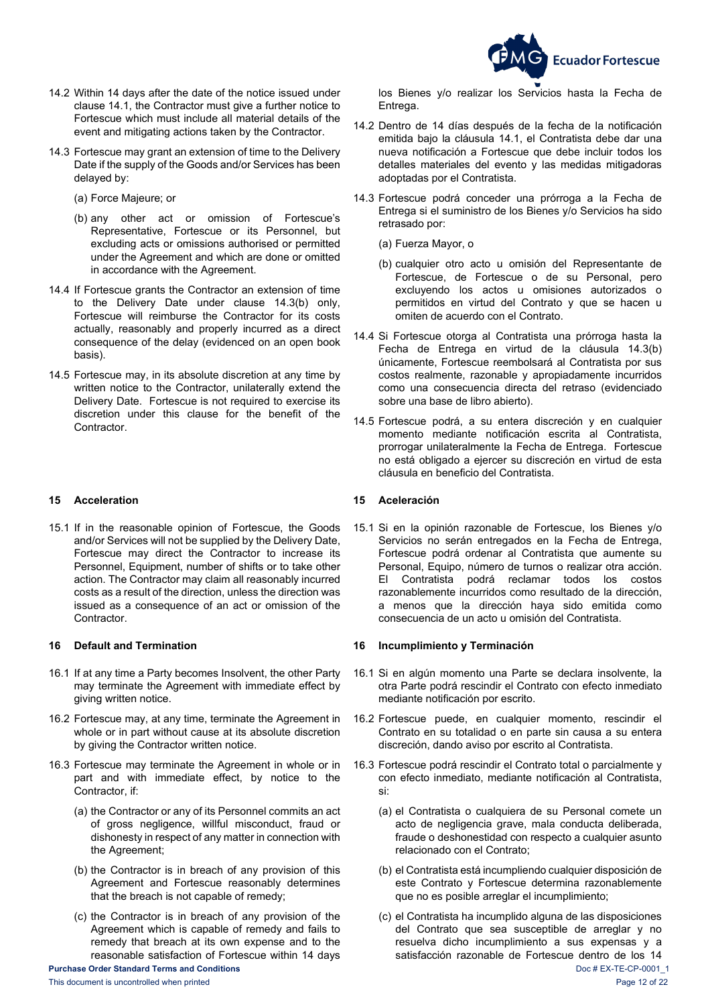

- 14.2 Within 14 days after the date of the notice issued under clause [14.1,](#page-10-4) the Contractor must give a further notice to Fortescue which must include all material details of the event and mitigating actions taken by the Contractor.
- <span id="page-11-3"></span>14.3 Fortescue may grant an extension of time to the Delivery Date if the supply of the Goods and/or Services has been delayed by:
	- (a) Force Majeure; or
	- (b) any other act or omission of Fortescue's Representative, Fortescue or its Personnel, but excluding acts or omissions authorised or permitted under the Agreement and which are done or omitted in accordance with the Agreement.
- 14.4 If Fortescue grants the Contractor an extension of time to the Delivery Date under clause [14.3\(b\)](#page-11-3) only, Fortescue will reimburse the Contractor for its costs actually, reasonably and properly incurred as a direct consequence of the delay (evidenced on an open book basis).
- 14.5 Fortescue may, in its absolute discretion at any time by written notice to the Contractor, unilaterally extend the Delivery Date. Fortescue is not required to exercise its discretion under this clause for the benefit of the Contractor.

### <span id="page-11-0"></span>**15 Acceleration 15 Aceleración**

15.1 If in the reasonable opinion of Fortescue, the Goods and/or Services will not be supplied by the Delivery Date, Fortescue may direct the Contractor to increase its Personnel, Equipment, number of shifts or to take other action. The Contractor may claim all reasonably incurred costs as a result of the direction, unless the direction was issued as a consequence of an act or omission of the Contractor.

- 16.1 If at any time a Party becomes Insolvent, the other Party may terminate the Agreement with immediate effect by giving written notice.
- <span id="page-11-5"></span>16.2 Fortescue may, at any time, terminate the Agreement in whole or in part without cause at its absolute discretion by giving the Contractor written notice.
- <span id="page-11-7"></span>16.3 Fortescue may terminate the Agreement in whole or in part and with immediate effect, by notice to the Contractor, if:
	- (a) the Contractor or any of its Personnel commits an act of gross negligence, willful misconduct, fraud or dishonesty in respect of any matter in connection with the Agreement;
	- (b) the Contractor is in breach of any provision of this Agreement and Fortescue reasonably determines that the breach is not capable of remedy;
	- (c) the Contractor is in breach of any provision of the Agreement which is capable of remedy and fails to remedy that breach at its own expense and to the reasonable satisfaction of Fortescue within 14 days

los Bienes y/o realizar los Servicios hasta la Fecha de Entrega.

- 14.2 Dentro de 14 días después de la fecha de la notificación emitida bajo la cláusula [14.1,](#page-10-5) el Contratista debe dar una nueva notificación a Fortescue que debe incluir todos los detalles materiales del evento y las medidas mitigadoras adoptadas por el Contratista.
- <span id="page-11-4"></span>14.3 Fortescue podrá conceder una prórroga a la Fecha de Entrega si el suministro de los Bienes y/o Servicios ha sido retrasado por:
	- (a) Fuerza Mayor, o
	- (b) cualquier otro acto u omisión del Representante de Fortescue, de Fortescue o de su Personal, pero excluyendo los actos u omisiones autorizados o permitidos en virtud del Contrato y que se hacen u omiten de acuerdo con el Contrato.
- 14.4 Si Fortescue otorga al Contratista una prórroga hasta la Fecha de Entrega en virtud de la cláusula [14.3\(b\)](#page-11-4) únicamente, Fortescue reembolsará al Contratista por sus costos realmente, razonable y apropiadamente incurridos como una consecuencia directa del retraso (evidenciado sobre una base de libro abierto).
- 14.5 Fortescue podrá, a su entera discreción y en cualquier momento mediante notificación escrita al Contratista, prorrogar unilateralmente la Fecha de Entrega. Fortescue no está obligado a ejercer su discreción en virtud de esta cláusula en beneficio del Contratista.

15.1 Si en la opinión razonable de Fortescue, los Bienes y/o Servicios no serán entregados en la Fecha de Entrega, Fortescue podrá ordenar al Contratista que aumente su Personal, Equipo, número de turnos o realizar otra acción. El Contratista podrá reclamar todos los costos razonablemente incurridos como resultado de la dirección, a menos que la dirección haya sido emitida como consecuencia de un acto u omisión del Contratista.

### <span id="page-11-1"></span>**16 Default and Termination 16 Incumplimiento y Terminación**

- 16.1 Si en algún momento una Parte se declara insolvente, la otra Parte podrá rescindir el Contrato con efecto inmediato mediante notificación por escrito.
- <span id="page-11-6"></span>16.2 Fortescue puede, en cualquier momento, rescindir el Contrato en su totalidad o en parte sin causa a su entera discreción, dando aviso por escrito al Contratista.
- <span id="page-11-2"></span>16.3 Fortescue podrá rescindir el Contrato total o parcialmente y con efecto inmediato, mediante notificación al Contratista, si:
	- (a) el Contratista o cualquiera de su Personal comete un acto de negligencia grave, mala conducta deliberada, fraude o deshonestidad con respecto a cualquier asunto relacionado con el Contrato;
	- (b) el Contratista está incumpliendo cualquier disposición de este Contrato y Fortescue determina razonablemente que no es posible arreglar el incumplimiento;
- **Purchase Order Standard Terms and Conditions** Doc # EX-TE-CP-0001\_1 (c) el Contratista ha incumplido alguna de las disposiciones del Contrato que sea susceptible de arreglar y no resuelva dicho incumplimiento a sus expensas y a satisfacción razonable de Fortescue dentro de los 14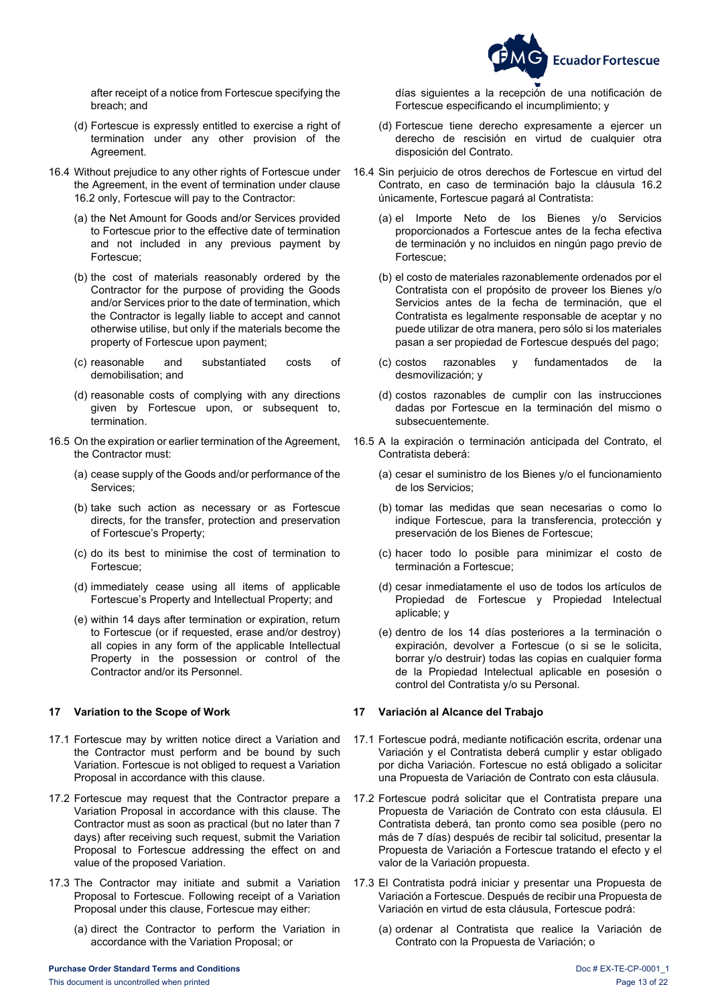

 after receipt of a notice from Fortescue specifying the breach; and

- (d) Fortescue is expressly entitled to exercise a right of termination under any other provision of the Agreement.
- 16.4 Without prejudice to any other rights of Fortescue under the Agreement, in the event of termination under clause [16.2](#page-11-5) only, Fortescue will pay to the Contractor:
	- (a) the Net Amount for Goods and/or Services provided to Fortescue prior to the effective date of termination and not included in any previous payment by Fortescue;
	- (b) the cost of materials reasonably ordered by the Contractor for the purpose of providing the Goods and/or Services prior to the date of termination, which the Contractor is legally liable to accept and cannot otherwise utilise, but only if the materials become the property of Fortescue upon payment;
	- (c) reasonable and substantiated costs of demobilisation; and
	- (d) reasonable costs of complying with any directions given by Fortescue upon, or subsequent to, termination.
- 16.5 On the expiration or earlier termination of the Agreement, the Contractor must:
	- (a) cease supply of the Goods and/or performance of the Services;
	- (b) take such action as necessary or as Fortescue directs, for the transfer, protection and preservation of Fortescue's Property;
	- (c) do its best to minimise the cost of termination to Fortescue;
	- (d) immediately cease using all items of applicable Fortescue's Property and Intellectual Property; and
	- (e) within 14 days after termination or expiration, return to Fortescue (or if requested, erase and/or destroy) all copies in any form of the applicable Intellectual Property in the possession or control of the Contractor and/or its Personnel.

- 17.1 Fortescue may by written notice direct a Variation and the Contractor must perform and be bound by such Variation. Fortescue is not obliged to request a Variation Proposal in accordance with this clause.
- 17.2 Fortescue may request that the Contractor prepare a Variation Proposal in accordance with this clause. The Contractor must as soon as practical (but no later than 7 days) after receiving such request, submit the Variation Proposal to Fortescue addressing the effect on and value of the proposed Variation.
- <span id="page-12-1"></span>17.3 The Contractor may initiate and submit a Variation Proposal to Fortescue. Following receipt of a Variation Proposal under this clause, Fortescue may either:
	- (a) direct the Contractor to perform the Variation in accordance with the Variation Proposal; or

días siguientes a la recepción de una notificación de Fortescue especificando el incumplimiento; y

- (d) Fortescue tiene derecho expresamente a ejercer un derecho de rescisión en virtud de cualquier otra disposición del Contrato.
- 16.4 Sin perjuicio de otros derechos de Fortescue en virtud del Contrato, en caso de terminación bajo la cláusula [16.2](#page-11-6) únicamente, Fortescue pagará al Contratista:
	- (a) el Importe Neto de los Bienes y/o Servicios proporcionados a Fortescue antes de la fecha efectiva de terminación y no incluidos en ningún pago previo de Fortescue;
	- (b) el costo de materiales razonablemente ordenados por el Contratista con el propósito de proveer los Bienes y/o Servicios antes de la fecha de terminación, que el Contratista es legalmente responsable de aceptar y no puede utilizar de otra manera, pero sólo si los materiales pasan a ser propiedad de Fortescue después del pago;
	- (c) costos razonables y fundamentados de la desmovilización; y
	- (d) costos razonables de cumplir con las instrucciones dadas por Fortescue en la terminación del mismo o subsecuentemente.
- 16.5 A la expiración o terminación anticipada del Contrato, el Contratista deberá:
	- (a) cesar el suministro de los Bienes y/o el funcionamiento de los Servicios;
	- (b) tomar las medidas que sean necesarias o como lo indique Fortescue, para la transferencia, protección y preservación de los Bienes de Fortescue;
	- (c) hacer todo lo posible para minimizar el costo de terminación a Fortescue;
	- (d) cesar inmediatamente el uso de todos los artículos de Propiedad de Fortescue y Propiedad Intelectual aplicable; y
	- (e) dentro de los 14 días posteriores a la terminación o expiración, devolver a Fortescue (o si se le solicita, borrar y/o destruir) todas las copias en cualquier forma de la Propiedad Intelectual aplicable en posesión o control del Contratista y/o su Personal.

### <span id="page-12-0"></span>**17 Variation to the Scope of Work 17 Variación al Alcance del Trabajo**

- 17.1 Fortescue podrá, mediante notificación escrita, ordenar una Variación y el Contratista deberá cumplir y estar obligado por dicha Variación. Fortescue no está obligado a solicitar una Propuesta de Variación de Contrato con esta cláusula.
- 17.2 Fortescue podrá solicitar que el Contratista prepare una Propuesta de Variación de Contrato con esta cláusula. El Contratista deberá, tan pronto como sea posible (pero no más de 7 días) después de recibir tal solicitud, presentar la Propuesta de Variación a Fortescue tratando el efecto y el valor de la Variación propuesta.
- <span id="page-12-2"></span>17.3 El Contratista podrá iniciar y presentar una Propuesta de Variación a Fortescue. Después de recibir una Propuesta de Variación en virtud de esta cláusula, Fortescue podrá:
	- (a) ordenar al Contratista que realice la Variación de Contrato con la Propuesta de Variación; o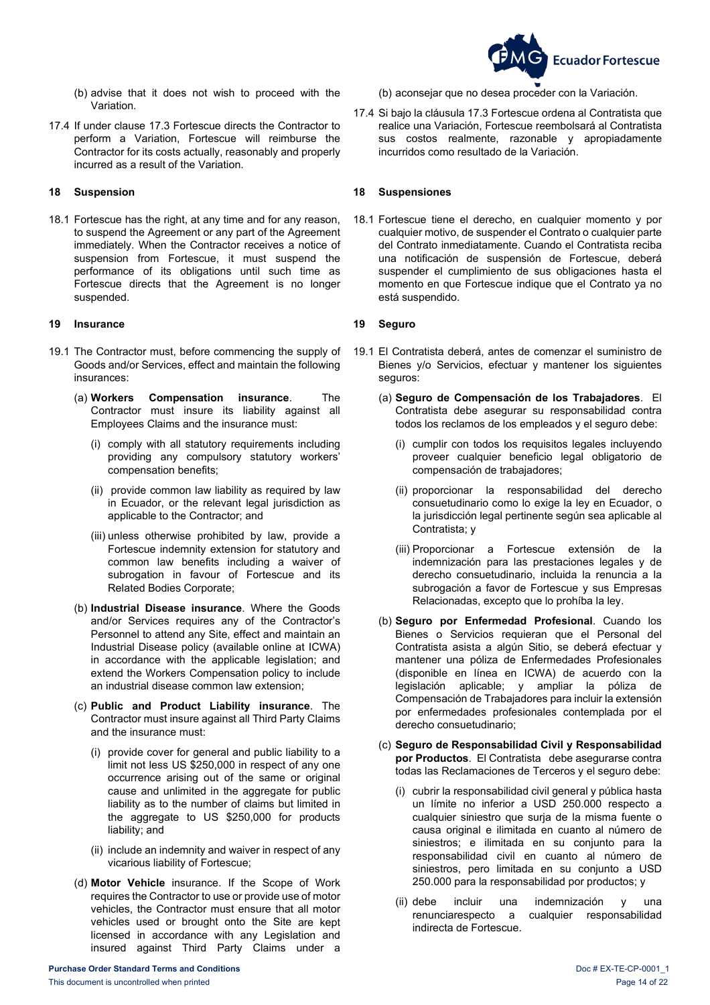

- (b) advise that it does not wish to proceed with the Variation.
- 17.4 If under clause [17.3](#page-12-1) Fortescue directs the Contractor to perform a Variation, Fortescue will reimburse the Contractor for its costs actually, reasonably and properly incurred as a result of the Variation.

18.1 Fortescue has the right, at any time and for any reason, to suspend the Agreement or any part of the Agreement immediately. When the Contractor receives a notice of suspension from Fortescue, it must suspend the performance of its obligations until such time as Fortescue directs that the Agreement is no longer suspended.

### <span id="page-13-1"></span>**19 Insurance 19 Seguro**

- 19.1 The Contractor must, before commencing the supply of Goods and/or Services, effect and maintain the following incurances:
	- (a) **Workers Compensation insurance**. The Contractor must insure its liability against all Employees Claims and the insurance must:
		- (i) comply with all statutory requirements including providing any compulsory statutory workers' compensation benefits;
		- (ii) provide common law liability as required by law in Ecuador, or the relevant legal jurisdiction as applicable to the Contractor; and
		- (iii) unless otherwise prohibited by law, provide a Fortescue indemnity extension for statutory and common law benefits including a waiver of subrogation in favour of Fortescue and its Related Bodies Corporate;
	- (b) **Industrial Disease insurance**. Where the Goods and/or Services requires any of the Contractor's Personnel to attend any Site, effect and maintain an Industrial Disease policy (available online at ICWA) in accordance with the applicable legislation; and extend the Workers Compensation policy to include an industrial disease common law extension;
	- (c) **Public and Product Liability insurance**. The Contractor must insure against all Third Party Claims and the insurance must:
		- (i) provide cover for general and public liability to a limit not less US \$250,000 in respect of any one occurrence arising out of the same or original cause and unlimited in the aggregate for public liability as to the number of claims but limited in the aggregate to US \$250,000 for products liability; and
		- (ii) include an indemnity and waiver in respect of any vicarious liability of Fortescue;
	- (d) **Motor Vehicle** insurance. If the Scope of Work requires the Contractor to use or provide use of motor vehicles, the Contractor must ensure that all motor vehicles used or brought onto the Site are kept licensed in accordance with any Legislation and insured against Third Party Claims under a

17.4 Si bajo la cláusul[a 17.3](#page-12-2) Fortescue ordena al Contratista que realice una Variación, Fortescue reembolsará al Contratista sus costos realmente, razonable y apropiadamente incurridos como resultado de la Variación.

### <span id="page-13-0"></span>**18 Suspension 18 Suspensiones**

18.1 Fortescue tiene el derecho, en cualquier momento y por cualquier motivo, de suspender el Contrato o cualquier parte del Contrato inmediatamente. Cuando el Contratista reciba una notificación de suspensión de Fortescue, deberá suspender el cumplimiento de sus obligaciones hasta el momento en que Fortescue indique que el Contrato ya no está suspendido.

- <span id="page-13-2"></span>19.1 El Contratista deberá, antes de comenzar el suministro de Bienes y/o Servicios, efectuar y mantener los siguientes seguros:
	- (a) **Seguro de Compensación de los Trabajadores**. El Contratista debe asegurar su responsabilidad contra todos los reclamos de los empleados y el seguro debe:
		- (i) cumplir con todos los requisitos legales incluyendo proveer cualquier beneficio legal obligatorio de compensación de trabajadores;
		- (ii) proporcionar la responsabilidad del derecho consuetudinario como lo exige la ley en Ecuador, o la jurisdicción legal pertinente según sea aplicable al Contratista; y
		- (iii) Proporcionar a Fortescue extensión de la indemnización para las prestaciones legales y de derecho consuetudinario, incluida la renuncia a la subrogación a favor de Fortescue y sus Empresas Relacionadas, excepto que lo prohíba la ley.
	- (b) **Seguro por Enfermedad Profesional**. Cuando los Bienes o Servicios requieran que el Personal del Contratista asista a algún Sitio, se deberá efectuar y mantener una póliza de Enfermedades Profesionales (disponible en línea en ICWA) de acuerdo con la legislación aplicable; y ampliar la póliza de Compensación de Trabajadores para incluir la extensión por enfermedades profesionales contemplada por el derecho consuetudinario;
	- (c) **Seguro de Responsabilidad Civil y Responsabilidad por Productos**. El Contratista debe asegurarse contra todas las Reclamaciones de Terceros y el seguro debe:
		- (i) cubrir la responsabilidad civil general y pública hasta un límite no inferior a USD 250.000 respecto a cualquier siniestro que surja de la misma fuente o causa original e ilimitada en cuanto al número de siniestros; e ilimitada en su conjunto para la responsabilidad civil en cuanto al número de siniestros, pero limitada en su conjunto a USD 250.000 para la responsabilidad por productos; y
		- (ii) debe incluir una indemnización y una renunciarespecto a cualquier responsabilidad indirecta de Fortescue.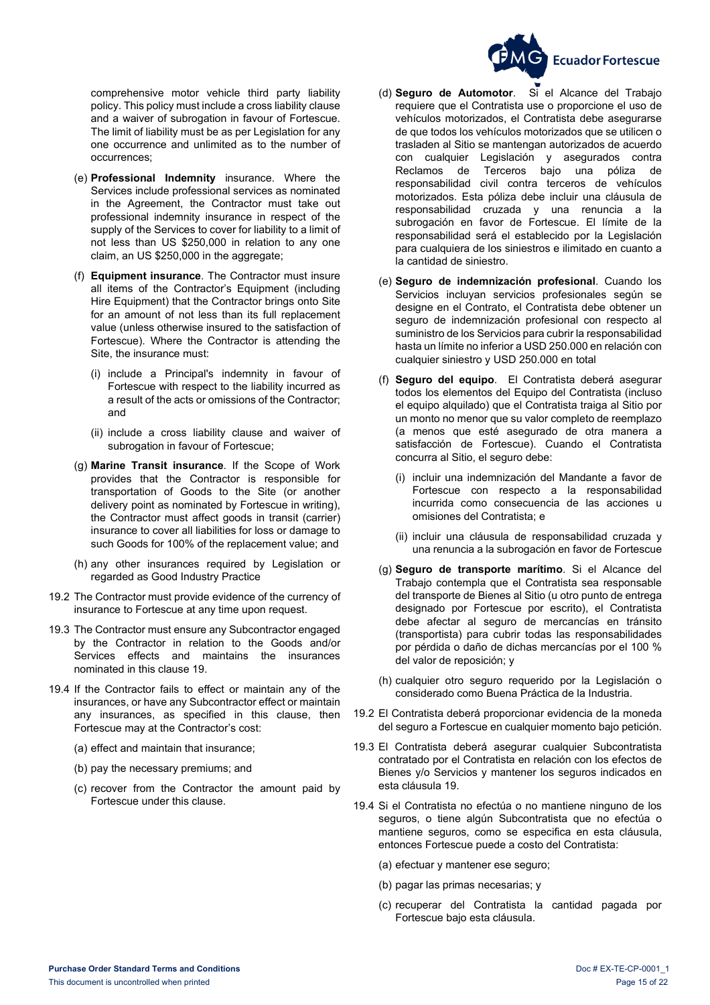

 comprehensive motor vehicle third party liability policy. This policy must include a cross liability clause and a waiver of subrogation in favour of Fortescue. The limit of liability must be as per Legislation for any one occurrence and unlimited as to the number of occurrences;

- (e) **Professional Indemnity** insurance. Where the Services include professional services as nominated in the Agreement, the Contractor must take out professional indemnity insurance in respect of the supply of the Services to cover for liability to a limit of not less than US \$250,000 in relation to any one claim, an US \$250,000 in the aggregate;
- (f) **Equipment insurance**. The Contractor must insure all items of the Contractor's Equipment (including Hire Equipment) that the Contractor brings onto Site for an amount of not less than its full replacement value (unless otherwise insured to the satisfaction of Fortescue). Where the Contractor is attending the Site, the insurance must:
	- (i) include a Principal's indemnity in favour of Fortescue with respect to the liability incurred as a result of the acts or omissions of the Contractor; and
	- (ii) include a cross liability clause and waiver of subrogation in favour of Fortescue;
- (g) **Marine Transit insurance**. If the Scope of Work provides that the Contractor is responsible for transportation of Goods to the Site (or another delivery point as nominated by Fortescue in writing), the Contractor must affect goods in transit (carrier) insurance to cover all liabilities for loss or damage to such Goods for 100% of the replacement value; and
- (h) any other insurances required by Legislation or regarded as Good Industry Practice
- 19.2 The Contractor must provide evidence of the currency of insurance to Fortescue at any time upon request.
- 19.3 The Contractor must ensure any Subcontractor engaged by the Contractor in relation to the Goods and/or Services effects and maintains the insurances nominated in this clause [19.](#page-13-1)
- 19.4 If the Contractor fails to effect or maintain any of the insurances, or have any Subcontractor effect or maintain any insurances, as specified in this clause, then Fortescue may at the Contractor's cost:
	- (a) effect and maintain that insurance;
	- (b) pay the necessary premiums; and
	- (c) recover from the Contractor the amount paid by Fortescue under this clause.
- (d) **Seguro de Automotor**. Si el Alcance del Trabajo requiere que el Contratista use o proporcione el uso de vehículos motorizados, el Contratista debe asegurarse de que todos los vehículos motorizados que se utilicen o trasladen al Sitio se mantengan autorizados de acuerdo con cualquier Legislación y asegurados contra<br>Reclamos de Terceros bajo una póliza de Terceros bajo una póliza de responsabilidad civil contra terceros de vehículos motorizados. Esta póliza debe incluir una cláusula de responsabilidad cruzada y una renuncia a la subrogación en favor de Fortescue. El límite de la responsabilidad será el establecido por la Legislación para cualquiera de los siniestros e ilimitado en cuanto a la cantidad de siniestro.
- (e) **Seguro de indemnización profesional**. Cuando los Servicios incluyan servicios profesionales según se designe en el Contrato, el Contratista debe obtener un seguro de indemnización profesional con respecto al suministro de los Servicios para cubrir la responsabilidad hasta un límite no inferior a USD 250.000 en relación con cualquier siniestro y USD 250.000 en total
- (f) **Seguro del equipo**. El Contratista deberá asegurar todos los elementos del Equipo del Contratista (incluso el equipo alquilado) que el Contratista traiga al Sitio por un monto no menor que su valor completo de reemplazo (a menos que esté asegurado de otra manera a satisfacción de Fortescue). Cuando el Contratista concurra al Sitio, el seguro debe:
	- (i) incluir una indemnización del Mandante a favor de Fortescue con respecto a la responsabilidad incurrida como consecuencia de las acciones u omisiones del Contratista; e
	- (ii) incluir una cláusula de responsabilidad cruzada y una renuncia a la subrogación en favor de Fortescue
- (g) **Seguro de transporte marítimo**. Si el Alcance del Trabajo contempla que el Contratista sea responsable del transporte de Bienes al Sitio (u otro punto de entrega designado por Fortescue por escrito), el Contratista debe afectar al seguro de mercancías en tránsito (transportista) para cubrir todas las responsabilidades por pérdida o daño de dichas mercancías por el 100 % del valor de reposición; y
- (h) cualquier otro seguro requerido por la Legislación o considerado como Buena Práctica de la Industria.
- 19.2 El Contratista deberá proporcionar evidencia de la moneda del seguro a Fortescue en cualquier momento bajo petición.
- 19.3 El Contratista deberá asegurar cualquier Subcontratista contratado por el Contratista en relación con los efectos de Bienes y/o Servicios y mantener los seguros indicados en esta cláusula [19.](#page-13-2)
- 19.4 Si el Contratista no efectúa o no mantiene ninguno de los seguros, o tiene algún Subcontratista que no efectúa o mantiene seguros, como se especifica en esta cláusula, entonces Fortescue puede a costo del Contratista:
	- (a) efectuar y mantener ese seguro;
	- (b) pagar las primas necesarias; y
	- (c) recuperar del Contratista la cantidad pagada por Fortescue bajo esta cláusula.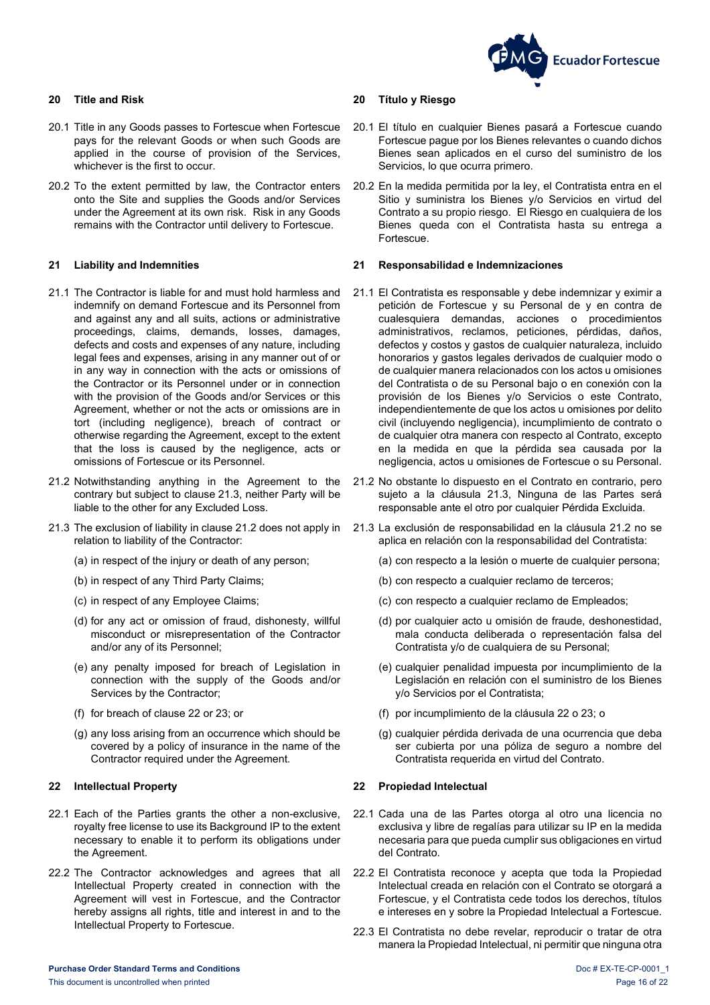

- 20.1 Title in any Goods passes to Fortescue when Fortescue pays for the relevant Goods or when such Goods are applied in the course of provision of the Services, whichever is the first to occur.
- 20.2 To the extent permitted by law, the Contractor enters onto the Site and supplies the Goods and/or Services under the Agreement at its own risk. Risk in any Goods remains with the Contractor until delivery to Fortescue.

- 21.1 The Contractor is liable for and must hold harmless and indemnify on demand Fortescue and its Personnel from and against any and all suits, actions or administrative proceedings, claims, demands, losses, damages, defects and costs and expenses of any nature, including legal fees and expenses, arising in any manner out of or in any way in connection with the acts or omissions of the Contractor or its Personnel under or in connection with the provision of the Goods and/or Services or this Agreement, whether or not the acts or omissions are in tort (including negligence), breach of contract or otherwise regarding the Agreement, except to the extent that the loss is caused by the negligence, acts or omissions of Fortescue or its Personnel.
- <span id="page-15-4"></span>21.2 Notwithstanding anything in the Agreement to the contrary but subject to clause [21.3,](#page-15-3) neither Party will be liable to the other for any Excluded Loss.
- <span id="page-15-3"></span>21.3 The exclusion of liability in clause [21.2](#page-15-4) does not apply in relation to liability of the Contractor:
	- (a) in respect of the injury or death of any person;
	- (b) in respect of any Third Party Claims;
	- (c) in respect of any Employee Claims;
	- (d) for any act or omission of fraud, dishonesty, willful misconduct or misrepresentation of the Contractor and/or any of its Personnel;
	- (e) any penalty imposed for breach of Legislation in connection with the supply of the Goods and/or Services by the Contractor;
	- (f) for breach of clause [22](#page-15-2) or [23;](#page-16-0) or
	- (g) any loss arising from an occurrence which should be covered by a policy of insurance in the name of the Contractor required under the Agreement.

- 22.1 Each of the Parties grants the other a non-exclusive, royalty free license to use its Background IP to the extent necessary to enable it to perform its obligations under the Agreement.
- 22.2 The Contractor acknowledges and agrees that all Intellectual Property created in connection with the Agreement will vest in Fortescue, and the Contractor hereby assigns all rights, title and interest in and to the Intellectual Property to Fortescue.

#### <span id="page-15-0"></span>**20 Title and Risk 20 Título y Riesgo**

- 20.1 El título en cualquier Bienes pasará a Fortescue cuando Fortescue pague por los Bienes relevantes o cuando dichos Bienes sean aplicados en el curso del suministro de los Servicios, lo que ocurra primero.
- 20.2 En la medida permitida por la ley, el Contratista entra en el Sitio y suministra los Bienes y/o Servicios en virtud del Contrato a su propio riesgo. El Riesgo en cualquiera de los Bienes queda con el Contratista hasta su entrega a **Fortescue.**

#### <span id="page-15-1"></span>**21 Liability and Indemnities 21 Responsabilidad e Indemnizaciones**

- <span id="page-15-9"></span>21.1 El Contratista es responsable y debe indemnizar y eximir a petición de Fortescue y su Personal de y en contra de cualesquiera demandas, acciones o procedimientos administrativos, reclamos, peticiones, pérdidas, daños, defectos y costos y gastos de cualquier naturaleza, incluido honorarios y gastos legales derivados de cualquier modo o de cualquier manera relacionados con los actos u omisiones del Contratista o de su Personal bajo o en conexión con la provisión de los Bienes y/o Servicios o este Contrato, independientemente de que los actos u omisiones por delito civil (incluyendo negligencia), incumplimiento de contrato o de cualquier otra manera con respecto al Contrato, excepto en la medida en que la pérdida sea causada por la negligencia, actos u omisiones de Fortescue o su Personal.
- <span id="page-15-6"></span>21.2 No obstante lo dispuesto en el Contrato en contrario, pero sujeto a la cláusula [21.3,](#page-15-5) Ninguna de las Partes será responsable ante el otro por cualquier Pérdida Excluida.
- <span id="page-15-5"></span>21.3 La exclusión de responsabilidad en la cláusula [21.2](#page-15-6) no se aplica en relación con la responsabilidad del Contratista:
	- (a) con respecto a la lesión o muerte de cualquier persona;
	- (b) con respecto a cualquier reclamo de terceros;
	- (c) con respecto a cualquier reclamo de Empleados;
	- (d) por cualquier acto u omisión de fraude, deshonestidad, mala conducta deliberada o representación falsa del Contratista y/o de cualquiera de su Personal;
	- (e) cualquier penalidad impuesta por incumplimiento de la Legislación en relación con el suministro de los Bienes y/o Servicios por el Contratista;
	- (f) por incumplimiento de la cláusula [22](#page-15-7) o [23;](#page-16-2) o
	- (g) cualquier pérdida derivada de una ocurrencia que deba ser cubierta por una póliza de seguro a nombre del Contratista requerida en virtud del Contrato.

#### <span id="page-15-2"></span>**22 Intellectual Property 22 Propiedad Intelectual**

- <span id="page-15-7"></span>22.1 Cada una de las Partes otorga al otro una licencia no exclusiva y libre de regalías para utilizar su IP en la medida necesaria para que pueda cumplir sus obligaciones en virtud del Contrato.
- <span id="page-15-8"></span>22.2 El Contratista reconoce y acepta que toda la Propiedad Intelectual creada en relación con el Contrato se otorgará a Fortescue, y el Contratista cede todos los derechos, títulos e intereses en y sobre la Propiedad Intelectual a Fortescue.
- 22.3 El Contratista no debe revelar, reproducir o tratar de otra manera la Propiedad Intelectual, ni permitir que ninguna otra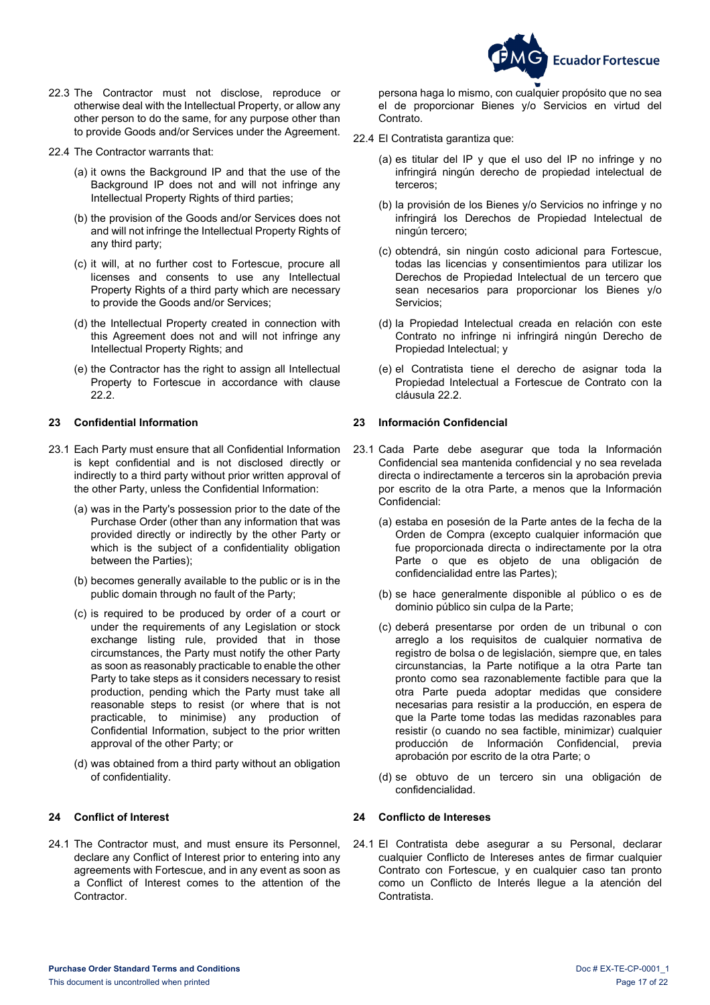

- 22.3 The Contractor must not disclose, reproduce or otherwise deal with the Intellectual Property, or allow any other person to do the same, for any purpose other than to provide Goods and/or Services under the Agreement.
- 22.4 The Contractor warrants that:
	- (a) it owns the Background IP and that the use of the Background IP does not and will not infringe any Intellectual Property Rights of third parties;
	- (b) the provision of the Goods and/or Services does not and will not infringe the Intellectual Property Rights of any third party;
	- (c) it will, at no further cost to Fortescue, procure all licenses and consents to use any Intellectual Property Rights of a third party which are necessary to provide the Goods and/or Services;
	- (d) the Intellectual Property created in connection with this Agreement does not and will not infringe any Intellectual Property Rights; and
	- (e) the Contractor has the right to assign all Intellectual Property to Fortescue in accordance with clause [22.2.](#page-15-8)

### <span id="page-16-0"></span>**23 Confidential Information 23 Información Confidencial**

- 23.1 Each Party must ensure that all Confidential Information is kept confidential and is not disclosed directly or indirectly to a third party without prior written approval of the other Party, unless the Confidential Information:
	- (a) was in the Party's possession prior to the date of the Purchase Order (other than any information that was provided directly or indirectly by the other Party or which is the subject of a confidentiality obligation between the Parties);
	- (b) becomes generally available to the public or is in the public domain through no fault of the Party;
	- (c) is required to be produced by order of a court or under the requirements of any Legislation or stock exchange listing rule, provided that in those circumstances, the Party must notify the other Party as soon as reasonably practicable to enable the other Party to take steps as it considers necessary to resist production, pending which the Party must take all reasonable steps to resist (or where that is not practicable, to minimise) any production of Confidential Information, subject to the prior written approval of the other Party; or
	- (d) was obtained from a third party without an obligation of confidentiality.

24.1 The Contractor must, and must ensure its Personnel, declare any Conflict of Interest prior to entering into any agreements with Fortescue, and in any event as soon as a Conflict of Interest comes to the attention of the **Contractor** 

persona haga lo mismo, con cualquier propósito que no sea el de proporcionar Bienes y/o Servicios en virtud del Contrato.

- 22.4 El Contratista garantiza que:
	- (a) es titular del IP y que el uso del IP no infringe y no infringirá ningún derecho de propiedad intelectual de terceros;
	- (b) la provisión de los Bienes y/o Servicios no infringe y no infringirá los Derechos de Propiedad Intelectual de ningún tercero;
	- (c) obtendrá, sin ningún costo adicional para Fortescue, todas las licencias y consentimientos para utilizar los Derechos de Propiedad Intelectual de un tercero que sean necesarios para proporcionar los Bienes y/o Servicios;
	- (d) la Propiedad Intelectual creada en relación con este Contrato no infringe ni infringirá ningún Derecho de Propiedad Intelectual; y
	- (e) el Contratista tiene el derecho de asignar toda la Propiedad Intelectual a Fortescue de Contrato con la cláusula [22.2.](#page-15-8)

- <span id="page-16-2"></span>23.1 Cada Parte debe asegurar que toda la Información Confidencial sea mantenida confidencial y no sea revelada directa o indirectamente a terceros sin la aprobación previa por escrito de la otra Parte, a menos que la Información Confidencial:
	- (a) estaba en posesión de la Parte antes de la fecha de la Orden de Compra (excepto cualquier información que fue proporcionada directa o indirectamente por la otra Parte o que es objeto de una obligación de confidencialidad entre las Partes);
	- (b) se hace generalmente disponible al público o es de dominio público sin culpa de la Parte;
	- (c) deberá presentarse por orden de un tribunal o con arreglo a los requisitos de cualquier normativa de registro de bolsa o de legislación, siempre que, en tales circunstancias, la Parte notifique a la otra Parte tan pronto como sea razonablemente factible para que la otra Parte pueda adoptar medidas que considere necesarias para resistir a la producción, en espera de que la Parte tome todas las medidas razonables para resistir (o cuando no sea factible, minimizar) cualquier<br>producción de Información Confidencial, previa producción de Información Confidencial, aprobación por escrito de la otra Parte; o
	- (d) se obtuvo de un tercero sin una obligación de confidencialidad.

### <span id="page-16-1"></span>**24 Conflict of Interest 24 Conflicto de Intereses**

24.1 El Contratista debe asegurar a su Personal, declarar cualquier Conflicto de Intereses antes de firmar cualquier Contrato con Fortescue, y en cualquier caso tan pronto como un Conflicto de Interés llegue a la atención del Contratista.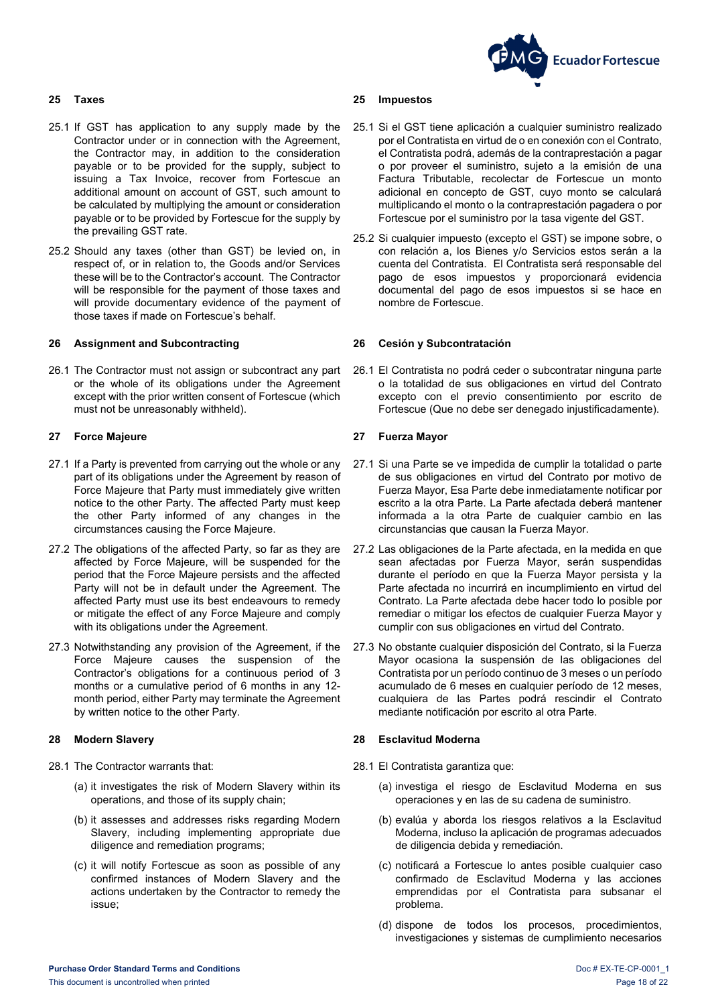# **Ecuador Fortescue**

- 25.1 If GST has application to any supply made by the Contractor under or in connection with the Agreement, the Contractor may, in addition to the consideration payable or to be provided for the supply, subject to issuing a Tax Invoice, recover from Fortescue an additional amount on account of GST, such amount to be calculated by multiplying the amount or consideration payable or to be provided by Fortescue for the supply by the prevailing GST rate.
- 25.2 Should any taxes (other than GST) be levied on, in respect of, or in relation to, the Goods and/or Services these will be to the Contractor's account. The Contractor will be responsible for the payment of those taxes and will provide documentary evidence of the payment of those taxes if made on Fortescue's behalf.

### <span id="page-17-1"></span>**26 Assignment and Subcontracting 26 Cesión y Subcontratación**

26.1 The Contractor must not assign or subcontract any part or the whole of its obligations under the Agreement except with the prior written consent of Fortescue (which must not be unreasonably withheld).

### <span id="page-17-2"></span>**27 Force Majeure 27 Fuerza Mayor**

- 27.1 If a Party is prevented from carrying out the whole or any part of its obligations under the Agreement by reason of Force Majeure that Party must immediately give written notice to the other Party. The affected Party must keep the other Party informed of any changes in the circumstances causing the Force Majeure.
- 27.2 The obligations of the affected Party, so far as they are affected by Force Majeure, will be suspended for the period that the Force Majeure persists and the affected Party will not be in default under the Agreement. The affected Party must use its best endeavours to remedy or mitigate the effect of any Force Majeure and comply with its obligations under the Agreement.
- 27.3 Notwithstanding any provision of the Agreement, if the Force Majeure causes the suspension of the Contractor's obligations for a continuous period of 3 months or a cumulative period of 6 months in any 12 month period, either Party may terminate the Agreement by written notice to the other Party.

- <span id="page-17-6"></span><span id="page-17-5"></span><span id="page-17-4"></span>28.1 The Contractor warrants that:
	- (a) it investigates the risk of Modern Slavery within its operations, and those of its supply chain;
	- (b) it assesses and addresses risks regarding Modern Slavery, including implementing appropriate due diligence and remediation programs;
	- (c) it will notify Fortescue as soon as possible of any confirmed instances of Modern Slavery and the actions undertaken by the Contractor to remedy the issue;

#### <span id="page-17-0"></span>**25 Taxes 25 Impuestos**

- 25.1 Si el GST tiene aplicación a cualquier suministro realizado por el Contratista en virtud de o en conexión con el Contrato, el Contratista podrá, además de la contraprestación a pagar o por proveer el suministro, sujeto a la emisión de una Factura Tributable, recolectar de Fortescue un monto adicional en concepto de GST, cuyo monto se calculará multiplicando el monto o la contraprestación pagadera o por Fortescue por el suministro por la tasa vigente del GST.
- 25.2 Si cualquier impuesto (excepto el GST) se impone sobre, o con relación a, los Bienes y/o Servicios estos serán a la cuenta del Contratista. El Contratista será responsable del pago de esos impuestos y proporcionará evidencia documental del pago de esos impuestos si se hace en nombre de Fortescue.

26.1 El Contratista no podrá ceder o subcontratar ninguna parte o la totalidad de sus obligaciones en virtud del Contrato excepto con el previo consentimiento por escrito de Fortescue (Que no debe ser denegado injustificadamente).

- 27.1 Si una Parte se ve impedida de cumplir la totalidad o parte de sus obligaciones en virtud del Contrato por motivo de Fuerza Mayor, Esa Parte debe inmediatamente notificar por escrito a la otra Parte. La Parte afectada deberá mantener informada a la otra Parte de cualquier cambio en las circunstancias que causan la Fuerza Mayor.
- 27.2 Las obligaciones de la Parte afectada, en la medida en que sean afectadas por Fuerza Mayor, serán suspendidas durante el período en que la Fuerza Mayor persista y la Parte afectada no incurrirá en incumplimiento en virtud del Contrato. La Parte afectada debe hacer todo lo posible por remediar o mitigar los efectos de cualquier Fuerza Mayor y cumplir con sus obligaciones en virtud del Contrato.
- 27.3 No obstante cualquier disposición del Contrato, si la Fuerza Mayor ocasiona la suspensión de las obligaciones del Contratista por un período continuo de 3 meses o un período acumulado de 6 meses en cualquier período de 12 meses, cualquiera de las Partes podrá rescindir el Contrato mediante notificación por escrito al otra Parte.

### <span id="page-17-3"></span>**28 Modern Slavery 28 Esclavitud Moderna**

- <span id="page-17-8"></span><span id="page-17-7"></span>28.1 El Contratista garantiza que:
	- (a) investiga el riesgo de Esclavitud Moderna en sus operaciones y en las de su cadena de suministro.
	- (b) evalúa y aborda los riesgos relativos a la Esclavitud Moderna, incluso la aplicación de programas adecuados de diligencia debida y remediación.
	- (c) notificará a Fortescue lo antes posible cualquier caso confirmado de Esclavitud Moderna y las acciones emprendidas por el Contratista para subsanar el problema.
	- (d) dispone de todos los procesos, procedimientos, investigaciones y sistemas de cumplimiento necesarios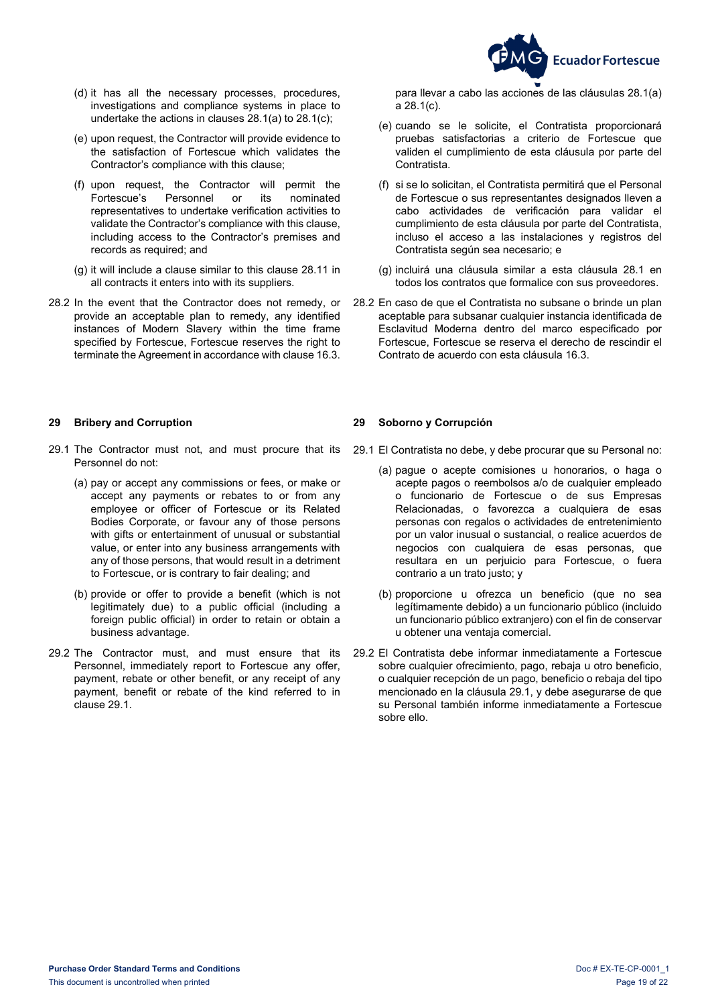

- (d) it has all the necessary processes, procedures, investigations and compliance systems in place to undertake the actions in clauses [28.1\(a\)](#page-17-4) to [28.1\(c\);](#page-17-5)
- (e) upon request, the Contractor will provide evidence to the satisfaction of Fortescue which validates the Contractor's compliance with this clause;
- (f) upon request, the Contractor will permit the Fortescue's Personnel or representatives to undertake verification activities to validate the Contractor's compliance with this clause, including access to the Contractor's premises and records as required; and
- (g) it will include a clause similar to this clause [28.11](#page-17-6) in all contracts it enters into with its suppliers.
- 28.2 In the event that the Contractor does not remedy, or provide an acceptable plan to remedy, any identified instances of Modern Slavery within the time frame specified by Fortescue, Fortescue reserves the right to terminate the Agreement in accordance with claus[e 16.3.](#page-11-7)

### <span id="page-18-0"></span>**29 Bribery and Corruption 29 Soborno y Corrupción**

- <span id="page-18-1"></span>29.1 The Contractor must not, and must procure that its Personnel do not:
	- (a) pay or accept any commissions or fees, or make or accept any payments or rebates to or from any employee or officer of Fortescue or its Related Bodies Corporate, or favour any of those persons with gifts or entertainment of unusual or substantial value, or enter into any business arrangements with any of those persons, that would result in a detriment to Fortescue, or is contrary to fair dealing; and
	- (b) provide or offer to provide a benefit (which is not legitimately due) to a public official (including a foreign public official) in order to retain or obtain a business advantage.
- 29.2 The Contractor must, and must ensure that its Personnel, immediately report to Fortescue any offer, payment, rebate or other benefit, or any receipt of any payment, benefit or rebate of the kind referred to in claus[e 29.1.](#page-18-1)

para llevar a cabo las acciones de las cláusulas [28.1\(a\)](#page-17-7) a [28.1\(c\).](#page-17-8)

- (e) cuando se le solicite, el Contratista proporcionará pruebas satisfactorias a criterio de Fortescue que validen el cumplimiento de esta cláusula por parte del Contratista.
- (f) si se lo solicitan, el Contratista permitirá que el Personal de Fortescue o sus representantes designados lleven a cabo actividades de verificación para validar el cumplimiento de esta cláusula por parte del Contratista, incluso el acceso a las instalaciones y registros del Contratista según sea necesario; e
- (g) incluirá una cláusula similar a esta cláusula 28.1 en todos los contratos que formalice con sus proveedores.
- 28.2 En caso de que el Contratista no subsane o brinde un plan aceptable para subsanar cualquier instancia identificada de Esclavitud Moderna dentro del marco especificado por Fortescue, Fortescue se reserva el derecho de rescindir el Contrato de acuerdo con esta cláusula [16.3.](#page-11-2)

- <span id="page-18-2"></span>29.1 El Contratista no debe, y debe procurar que su Personal no:
	- (a) pague o acepte comisiones u honorarios, o haga o acepte pagos o reembolsos a/o de cualquier empleado o funcionario de Fortescue o de sus Empresas Relacionadas, o favorezca a cualquiera de esas personas con regalos o actividades de entretenimiento por un valor inusual o sustancial, o realice acuerdos de negocios con cualquiera de esas personas, que resultara en un perjuicio para Fortescue, o fuera contrario a un trato justo; y
	- (b) proporcione u ofrezca un beneficio (que no sea legítimamente debido) a un funcionario público (incluido un funcionario público extranjero) con el fin de conservar u obtener una ventaja comercial.
	- 29.2 El Contratista debe informar inmediatamente a Fortescue sobre cualquier ofrecimiento, pago, rebaja u otro beneficio, o cualquier recepción de un pago, beneficio o rebaja del tipo mencionado en la cláusula [29.1,](#page-18-2) y debe asegurarse de que su Personal también informe inmediatamente a Fortescue sobre ello.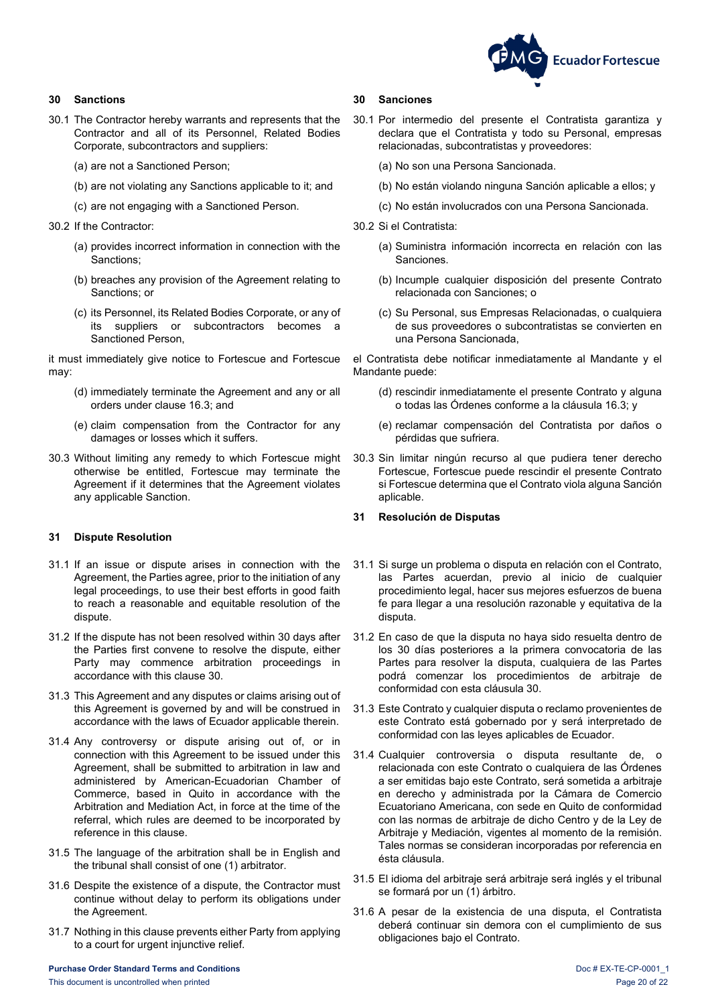

### <span id="page-19-0"></span>**30 Sanctions**

- 30.1 The Contractor hereby warrants and represents that the Contractor and all of its Personnel, Related Bodies Corporate, subcontractors and suppliers:
	- (a) are not a Sanctioned Person;
	- (b) are not violating any Sanctions applicable to it; and
	- (c) are not engaging with a Sanctioned Person.
- 30.2 If the Contractor:
	- (a) provides incorrect information in connection with the Sanctions;
	- (b) breaches any provision of the Agreement relating to Sanctions; or
	- (c) its Personnel, its Related Bodies Corporate, or any of its suppliers or subcontractors becomes a Sanctioned Person,

it must immediately give notice to Fortescue and Fortescue may:

- (d) immediately terminate the Agreement and any or all orders under clause [16.3;](#page-11-7) and
- (e) claim compensation from the Contractor for any damages or losses which it suffers.
- 30.3 Without limiting any remedy to which Fortescue might otherwise be entitled, Fortescue may terminate the Agreement if it determines that the Agreement violates any applicable Sanction.

### <span id="page-19-1"></span>**31 Dispute Resolution**

- 31.1 If an issue or dispute arises in connection with the Agreement, the Parties agree, prior to the initiation of any legal proceedings, to use their best efforts in good faith to reach a reasonable and equitable resolution of the dispute.
- 31.2 If the dispute has not been resolved within 30 days after the Parties first convene to resolve the dispute, either Party may commence arbitration proceedings in accordance with this clause [30.](#page-19-0)
- 31.3 This Agreement and any disputes or claims arising out of this Agreement is governed by and will be construed in accordance with the laws of Ecuador applicable therein.
- 31.4 Any controversy or dispute arising out of, or in connection with this Agreement to be issued under this Agreement, shall be submitted to arbitration in law and administered by American-Ecuadorian Chamber of Commerce, based in Quito in accordance with the Arbitration and Mediation Act, in force at the time of the referral, which rules are deemed to be incorporated by reference in this clause.
- 31.5 The language of the arbitration shall be in English and the tribunal shall consist of one (1) arbitrator.
- 31.6 Despite the existence of a dispute, the Contractor must continue without delay to perform its obligations under the Agreement.
- 31.7 Nothing in this clause prevents either Party from applying to a court for urgent injunctive relief.

#### <span id="page-19-2"></span>**30 Sanciones**

- 30.1 Por intermedio del presente el Contratista garantiza y declara que el Contratista y todo su Personal, empresas relacionadas, subcontratistas y proveedores:
	- (a) No son una Persona Sancionada.
	- (b) No están violando ninguna Sanción aplicable a ellos; y
	- (c) No están involucrados con una Persona Sancionada.
- 30.2 Si el Contratista:
	- (a) Suministra información incorrecta en relación con las Sanciones.
	- (b) Incumple cualquier disposición del presente Contrato relacionada con Sanciones; o
	- (c) Su Personal, sus Empresas Relacionadas, o cualquiera de sus proveedores o subcontratistas se convierten en una Persona Sancionada,

el Contratista debe notificar inmediatamente al Mandante y el Mandante puede:

- (d) rescindir inmediatamente el presente Contrato y alguna o todas las Órdenes conforme a la cláusula [16.3;](#page-11-2) y
- (e) reclamar compensación del Contratista por daños o pérdidas que sufriera.
- 30.3 Sin limitar ningún recurso al que pudiera tener derecho Fortescue, Fortescue puede rescindir el presente Contrato si Fortescue determina que el Contrato viola alguna Sanción aplicable.

### **31 Resolución de Disputas**

- 31.1 Si surge un problema o disputa en relación con el Contrato, las Partes acuerdan, previo al inicio de cualquier procedimiento legal, hacer sus mejores esfuerzos de buena fe para llegar a una resolución razonable y equitativa de la disputa.
- 31.2 En caso de que la disputa no haya sido resuelta dentro de los 30 días posteriores a la primera convocatoria de las Partes para resolver la disputa, cualquiera de las Partes podrá comenzar los procedimientos de arbitraje de conformidad con esta cláusula [30.](#page-19-2)
- 31.3 Este Contrato y cualquier disputa o reclamo provenientes de este Contrato está gobernado por y será interpretado de conformidad con las leyes aplicables de Ecuador.
- 31.4 Cualquier controversia o disputa resultante de, o relacionada con este Contrato o cualquiera de las Órdenes a ser emitidas bajo este Contrato, será sometida a arbitraje en derecho y administrada por la Cámara de Comercio Ecuatoriano Americana, con sede en Quito de conformidad con las normas de arbitraje de dicho Centro y de la Ley de Arbitraje y Mediación, vigentes al momento de la remisión. Tales normas se consideran incorporadas por referencia en ésta cláusula.
- 31.5 El idioma del arbitraje será arbitraje será inglés y el tribunal se formará por un (1) árbitro.
- 31.6 A pesar de la existencia de una disputa, el Contratista deberá continuar sin demora con el cumplimiento de sus obligaciones bajo el Contrato.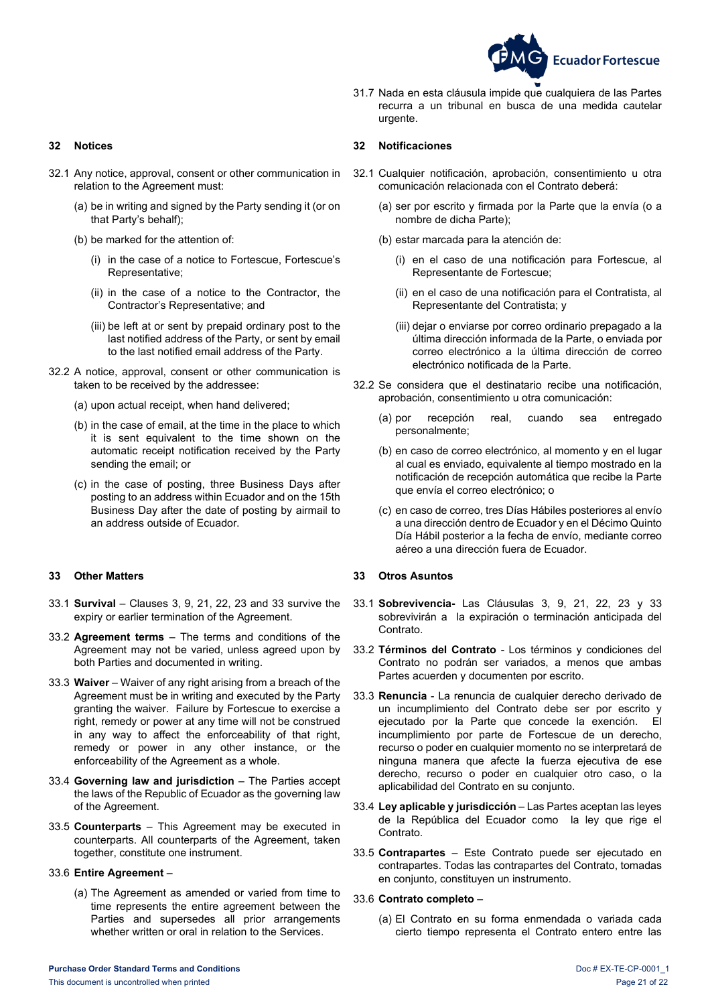

- 32.1 Any notice, approval, consent or other communication in relation to the Agreement must:
	- (a) be in writing and signed by the Party sending it (or on that Party's behalf);
	- (b) be marked for the attention of:
		- (i) in the case of a notice to Fortescue, Fortescue's Representative;
		- (ii) in the case of a notice to the Contractor, the Contractor's Representative; and
		- (iii) be left at or sent by prepaid ordinary post to the last notified address of the Party, or sent by email to the last notified email address of the Party.
- 32.2 A notice, approval, consent or other communication is taken to be received by the addressee:
	- (a) upon actual receipt, when hand delivered;
	- (b) in the case of email, at the time in the place to which it is sent equivalent to the time shown on the automatic receipt notification received by the Party sending the email; or
	- (c) in the case of posting, three Business Days after posting to an address within Ecuador and on the 15th Business Day after the date of posting by airmail to an address outside of Ecuador.

#### <span id="page-20-1"></span>**33 Other Matters 33 Otros Asuntos**

- 33.1 **Survival** Clauses [3,](#page-6-1) [9,](#page-9-0) [21,](#page-15-1) [22,](#page-15-2) [23](#page-16-0) and [33](#page-20-1) survive the expiry or earlier termination of the Agreement.
- 33.2 **Agreement terms** The terms and conditions of the Agreement may not be varied, unless agreed upon by both Parties and documented in writing.
- 33.3 **Waiver** Waiver of any right arising from a breach of the Agreement must be in writing and executed by the Party granting the waiver. Failure by Fortescue to exercise a right, remedy or power at any time will not be construed in any way to affect the enforceability of that right, remedy or power in any other instance, or the enforceability of the Agreement as a whole.
- 33.4 **Governing law and jurisdiction** The Parties accept the laws of the Republic of Ecuador as the governing law of the Agreement.
- 33.5 **Counterparts** This Agreement may be executed in counterparts. All counterparts of the Agreement, taken together, constitute one instrument.

#### 33.6 **Entire Agreement** –

(a) The Agreement as amended or varied from time to time represents the entire agreement between the Parties and supersedes all prior arrangements whether written or oral in relation to the Services.

31.7 Nada en esta cláusula impide que cualquiera de las Partes recurra a un tribunal en busca de una medida cautelar urgente.

#### <span id="page-20-0"></span>**32 Notices 32 Notificaciones**

- 32.1 Cualquier notificación, aprobación, consentimiento u otra comunicación relacionada con el Contrato deberá:
	- (a) ser por escrito y firmada por la Parte que la envía (o a nombre de dicha Parte);
	- (b) estar marcada para la atención de:
		- (i) en el caso de una notificación para Fortescue, al Representante de Fortescue;
		- (ii) en el caso de una notificación para el Contratista, al Representante del Contratista; y
		- (iii) dejar o enviarse por correo ordinario prepagado a la última dirección informada de la Parte, o enviada por correo electrónico a la última dirección de correo electrónico notificada de la Parte.
- 32.2 Se considera que el destinatario recibe una notificación, aprobación, consentimiento u otra comunicación:
	- (a) por recepción real, cuando sea entregado personalmente;
	- (b) en caso de correo electrónico, al momento y en el lugar al cual es enviado, equivalente al tiempo mostrado en la notificación de recepción automática que recibe la Parte que envía el correo electrónico; o
	- (c) en caso de correo, tres Días Hábiles posteriores al envío a una dirección dentro de Ecuador y en el Décimo Quinto Día Hábil posterior a la fecha de envío, mediante correo aéreo a una dirección fuera de Ecuador.

- <span id="page-20-2"></span>33.1 **Sobrevivencia-** Las Cláusulas [3,](#page-6-2) [9,](#page-9-3) [21,](#page-15-9) [22,](#page-15-7) [23](#page-16-2) y [33](#page-20-2) sobrevivirán a la expiración o terminación anticipada del Contrato.
- 33.2 **Términos del Contrato** Los términos y condiciones del Contrato no podrán ser variados, a menos que ambas Partes acuerden y documenten por escrito.
- 33.3 **Renuncia** La renuncia de cualquier derecho derivado de un incumplimiento del Contrato debe ser por escrito y ejecutado por la Parte que concede la exención. El incumplimiento por parte de Fortescue de un derecho, recurso o poder en cualquier momento no se interpretará de ninguna manera que afecte la fuerza ejecutiva de ese derecho, recurso o poder en cualquier otro caso, o la aplicabilidad del Contrato en su conjunto.
- 33.4 **Ley aplicable y jurisdicción** Las Partes aceptan las leyes de la República del Ecuador como la ley que rige el Contrato.
- 33.5 **Contrapartes** Este Contrato puede ser ejecutado en contrapartes. Todas las contrapartes del Contrato, tomadas en conjunto, constituyen un instrumento.

### 33.6 **Contrato completo** –

(a) El Contrato en su forma enmendada o variada cada cierto tiempo representa el Contrato entero entre las